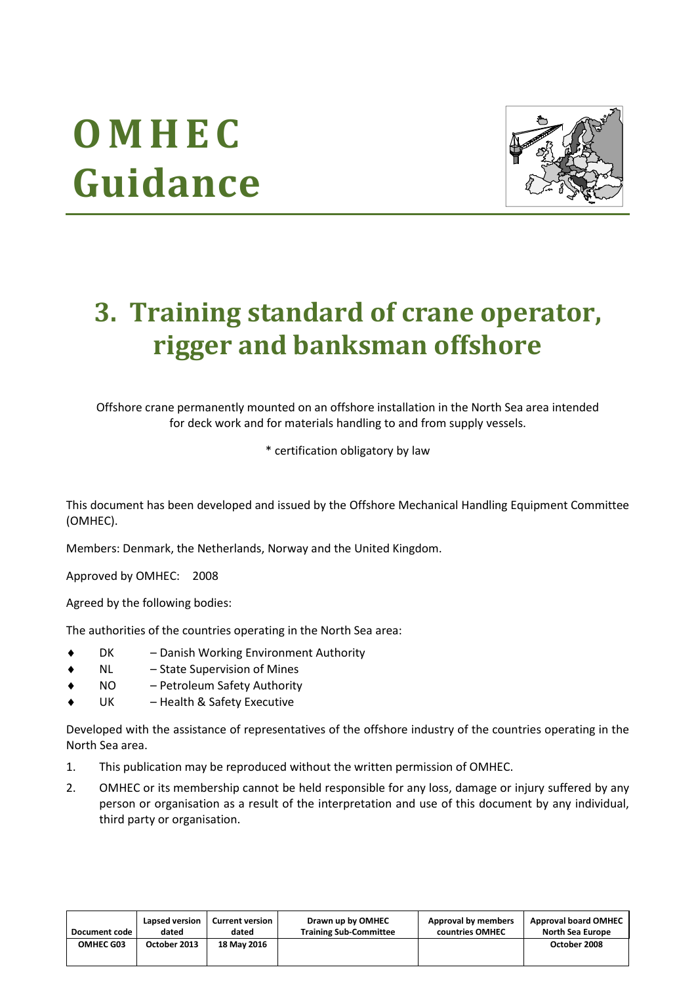# **O M H E C Guidance**



## **3. Training standard of crane operator, rigger and banksman offshore**

Offshore crane permanently mounted on an offshore installation in the North Sea area intended for deck work and for materials handling to and from supply vessels.

\* certification obligatory by law

This document has been developed and issued by the Offshore Mechanical Handling Equipment Committee (OMHEC).

Members: Denmark, the Netherlands, Norway and the United Kingdom.

Approved by OMHEC: 2008

Agreed by the following bodies:

The authorities of the countries operating in the North Sea area:

- DK Danish Working Environment Authority
- NL State Supervision of Mines
- NO Petroleum Safety Authority
- UK Health & Safety Executive

Developed with the assistance of representatives of the offshore industry of the countries operating in the North Sea area.

- 1. This publication may be reproduced without the written permission of OMHEC.
- 2. OMHEC or its membership cannot be held responsible for any loss, damage or injury suffered by any person or organisation as a result of the interpretation and use of this document by any individual, third party or organisation.

| Document code    | Lapsed version | <b>Current version</b> | Drawn up by OMHEC             | Approval by members | <b>Approval board OMHEC</b> |
|------------------|----------------|------------------------|-------------------------------|---------------------|-----------------------------|
|                  | dated          | dated                  | <b>Training Sub-Committee</b> | countries OMHEC     | <b>North Sea Europe</b>     |
| <b>OMHEC G03</b> | October 2013   | 18 May 2016            |                               |                     | October 2008                |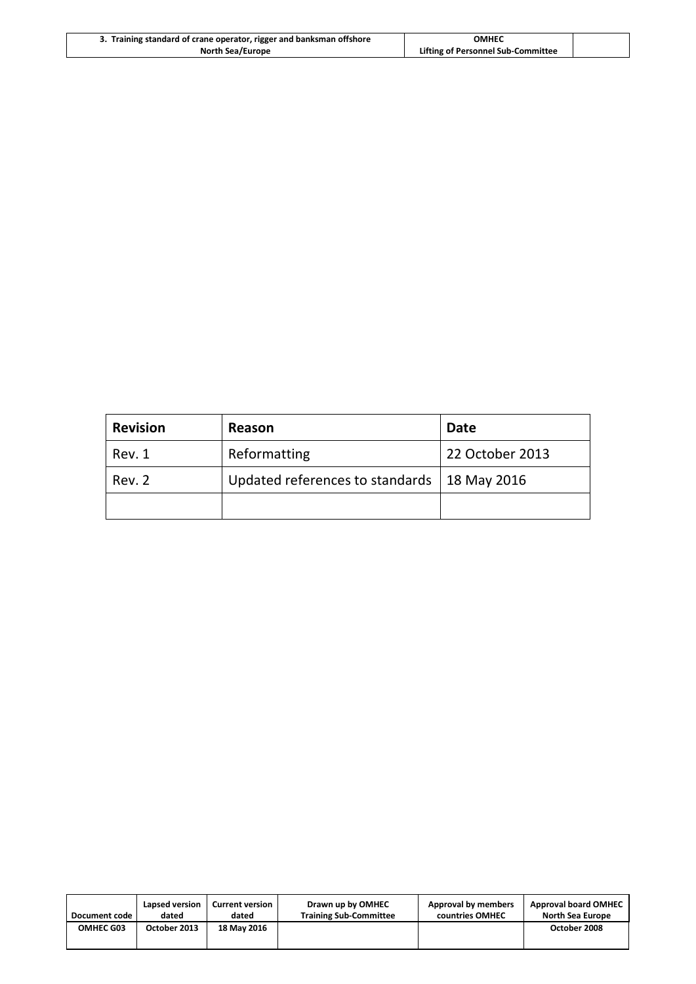| 3. Training standard of crane operator, rigger and banksman offshore | ОМНЕС                              |  |
|----------------------------------------------------------------------|------------------------------------|--|
| <b>North Sea/Europe</b>                                              | Lifting of Personnel Sub-Committee |  |

| <b>Revision</b> | Reason                                        | <b>Date</b>     |
|-----------------|-----------------------------------------------|-----------------|
| Rev. 1          | Reformatting                                  | 22 October 2013 |
| Rev. 2          | Updated references to standards   18 May 2016 |                 |
|                 |                                               |                 |

| Document code 1  | Lapsed version | <b>Current version</b> | Drawn up by OMHEC             | Approval by members | <b>Approval board OMHEC</b> |
|------------------|----------------|------------------------|-------------------------------|---------------------|-----------------------------|
|                  | dated          | dated                  | <b>Training Sub-Committee</b> | countries OMHEC     | North Sea Europe            |
| <b>OMHEC G03</b> | October 2013   | 18 May 2016            |                               |                     | October 2008                |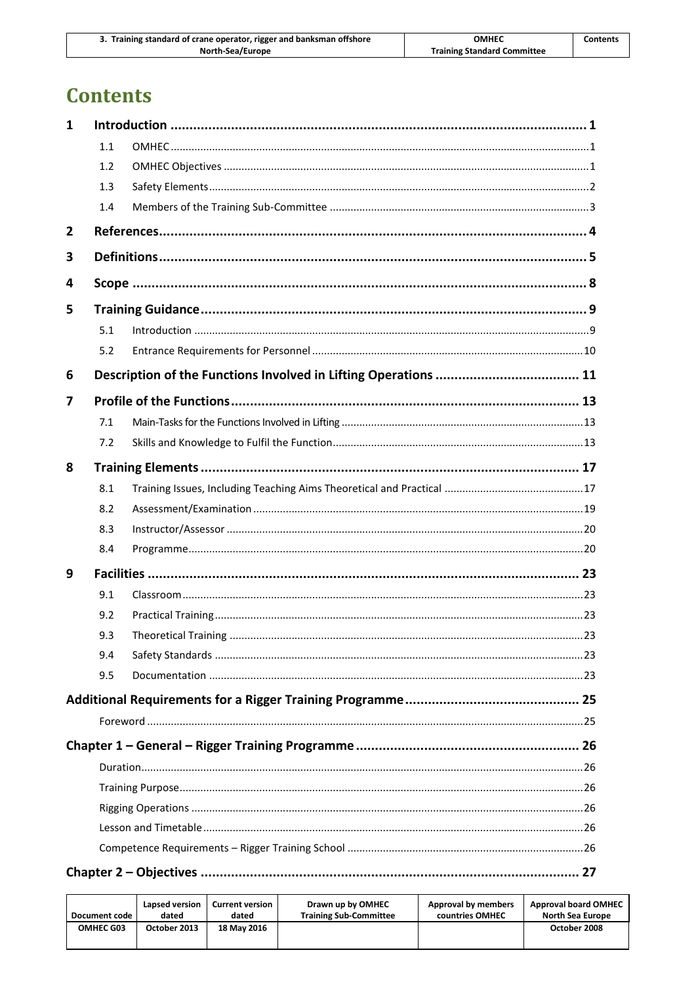| 3. Training standard of crane operator, rigger and banksman offshore | OMHEC                              | <b>Contents</b> |
|----------------------------------------------------------------------|------------------------------------|-----------------|
| North-Sea/Europe                                                     | <b>Training Standard Committee</b> |                 |

## **Contents**

| 1 |     |  |
|---|-----|--|
|   | 1.1 |  |
|   | 1.2 |  |
|   | 1.3 |  |
|   | 1.4 |  |
| 2 |     |  |
| 3 |     |  |
| 4 |     |  |
| 5 |     |  |
|   | 5.1 |  |
|   | 5.2 |  |
| 6 |     |  |
| 7 |     |  |
|   | 7.1 |  |
|   | 7.2 |  |
| 8 |     |  |
|   | 8.1 |  |
|   | 8.2 |  |
|   | 8.3 |  |
|   | 8.4 |  |
| 9 |     |  |
|   | 9.1 |  |
|   | 9.2 |  |
|   | 9.3 |  |
|   | 9.4 |  |
|   | 9.5 |  |
|   |     |  |
|   |     |  |
|   |     |  |
|   |     |  |
|   |     |  |
|   |     |  |
|   |     |  |
|   |     |  |
|   |     |  |

| Document code | Lapsed version | <b>Current version</b> | Drawn up by OMHEC             | Approval by members | <b>Approval board OMHEC</b> |
|---------------|----------------|------------------------|-------------------------------|---------------------|-----------------------------|
|               | dated          | dated                  | <b>Training Sub-Committee</b> | countries OMHEC     | <b>North Sea Europe</b>     |
| OMHEC G03     | October 2013   | 18 May 2016            |                               |                     | October 2008                |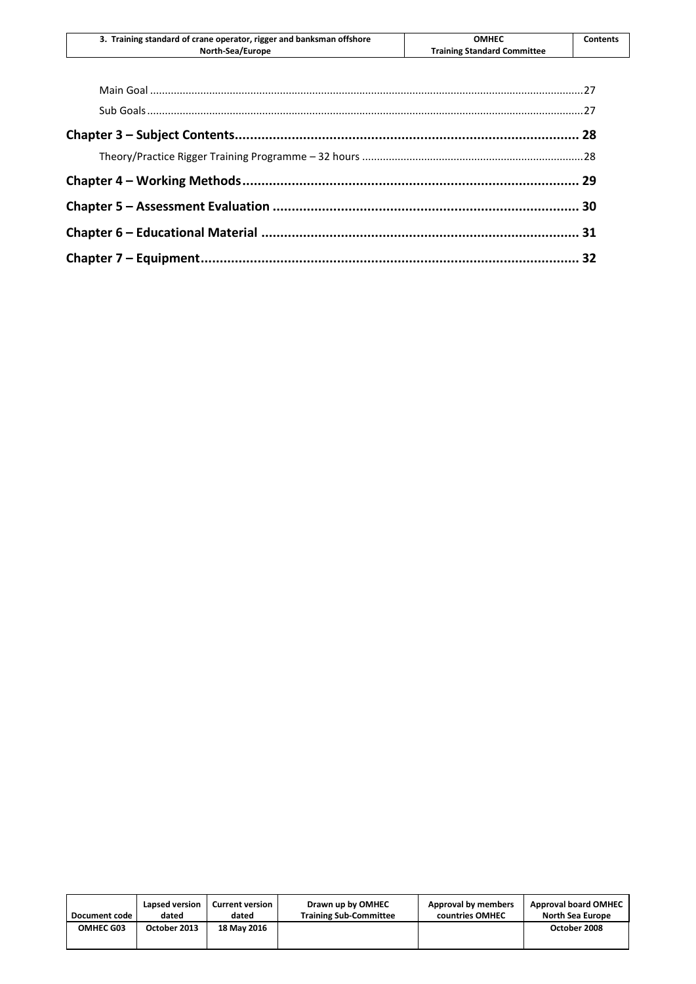| 3. Training standard of crane operator, rigger and banksman offshore | <b>OMHEC</b>                       | Contents |
|----------------------------------------------------------------------|------------------------------------|----------|
| North-Sea/Europe                                                     | <b>Training Standard Committee</b> |          |
|                                                                      |                                    |          |

| Document code    | Lapsed version | <b>Current version</b> | Drawn up by OMHEC             | Approval by members | <b>Approval board OMHEC</b> |
|------------------|----------------|------------------------|-------------------------------|---------------------|-----------------------------|
|                  | dated          | dated                  | <b>Training Sub-Committee</b> | countries OMHEC     | <b>North Sea Europe</b>     |
| <b>OMHEC G03</b> | October 2013   | 18 May 2016            |                               |                     | October 2008                |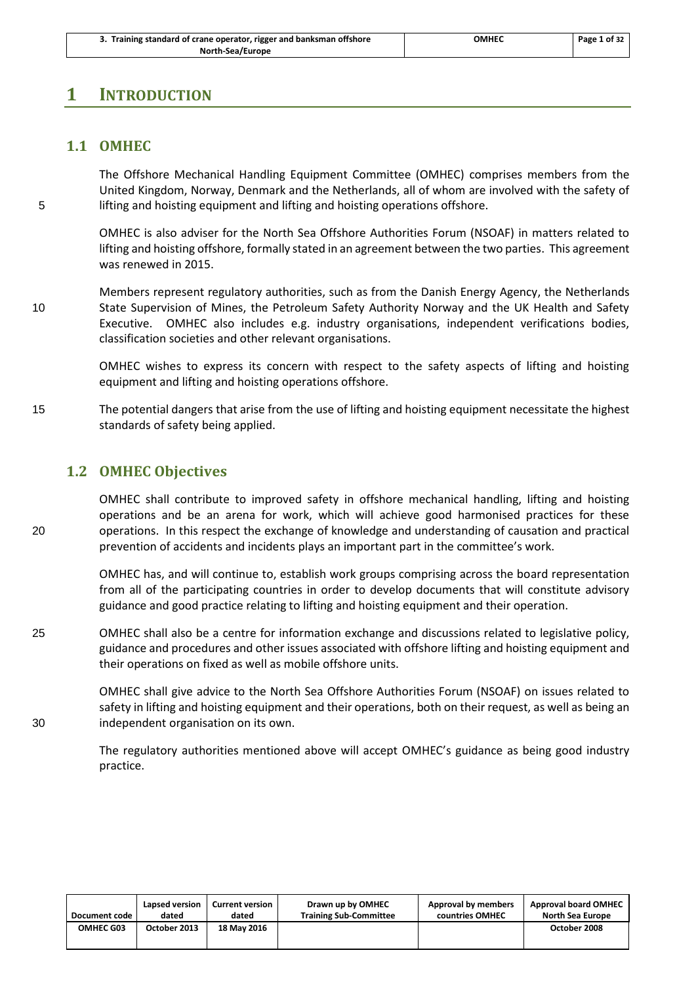### <span id="page-4-1"></span><span id="page-4-0"></span>**1 INTRODUCTION**

### **1.1 OMHEC**

The Offshore Mechanical Handling Equipment Committee (OMHEC) comprises members from the United Kingdom, Norway, Denmark and the Netherlands, all of whom are involved with the safety of 5 lifting and hoisting equipment and lifting and hoisting operations offshore.

> OMHEC is also adviser for the North Sea Offshore Authorities Forum (NSOAF) in matters related to lifting and hoisting offshore, formally stated in an agreement between the two parties. This agreement was renewed in 2015.

Members represent regulatory authorities, such as from the Danish Energy Agency, the Netherlands 10 State Supervision of Mines, the Petroleum Safety Authority Norway and the UK Health and Safety Executive. OMHEC also includes e.g. industry organisations, independent verifications bodies, classification societies and other relevant organisations.

> OMHEC wishes to express its concern with respect to the safety aspects of lifting and hoisting equipment and lifting and hoisting operations offshore.

15 The potential dangers that arise from the use of lifting and hoisting equipment necessitate the highest standards of safety being applied.

### <span id="page-4-2"></span>**1.2 OMHEC Objectives**

OMHEC shall contribute to improved safety in offshore mechanical handling, lifting and hoisting operations and be an arena for work, which will achieve good harmonised practices for these 20 operations. In this respect the exchange of knowledge and understanding of causation and practical prevention of accidents and incidents plays an important part in the committee's work.

> OMHEC has, and will continue to, establish work groups comprising across the board representation from all of the participating countries in order to develop documents that will constitute advisory guidance and good practice relating to lifting and hoisting equipment and their operation.

25 OMHEC shall also be a centre for information exchange and discussions related to legislative policy, guidance and procedures and other issues associated with offshore lifting and hoisting equipment and their operations on fixed as well as mobile offshore units.

OMHEC shall give advice to the North Sea Offshore Authorities Forum (NSOAF) on issues related to safety in lifting and hoisting equipment and their operations, both on their request, as well as being an 30 independent organisation on its own.

> The regulatory authorities mentioned above will accept OMHEC's guidance as being good industry practice.

| Document code    | Lapsed version | <b>Current version</b> | Drawn up by OMHEC             | Approval by members | <b>Approval board OMHEC</b> |
|------------------|----------------|------------------------|-------------------------------|---------------------|-----------------------------|
|                  | dated          | dated                  | <b>Training Sub-Committee</b> | countries OMHEC     | North Sea Europe            |
| <b>OMHEC G03</b> | October 2013   | 18 May 2016            |                               |                     | October 2008                |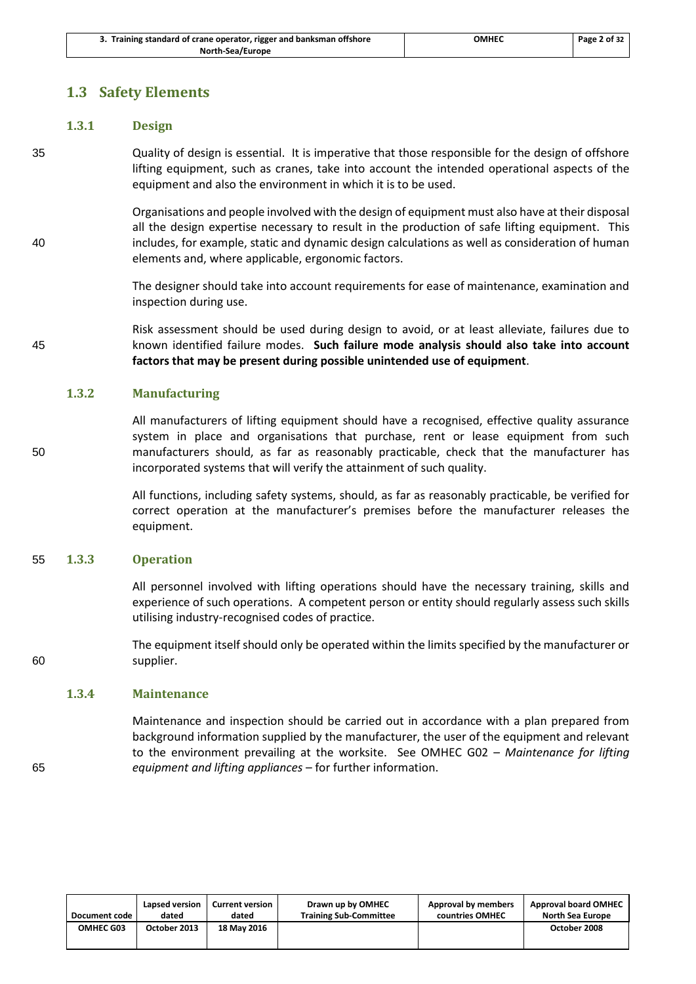### <span id="page-5-0"></span>**1.3 Safety Elements**

### **1.3.1 Design**

35 Quality of design is essential. It is imperative that those responsible for the design of offshore lifting equipment, such as cranes, take into account the intended operational aspects of the equipment and also the environment in which it is to be used.

Organisations and people involved with the design of equipment must also have at their disposal all the design expertise necessary to result in the production of safe lifting equipment. This 40 includes, for example, static and dynamic design calculations as well as consideration of human elements and, where applicable, ergonomic factors.

> The designer should take into account requirements for ease of maintenance, examination and inspection during use.

Risk assessment should be used during design to avoid, or at least alleviate, failures due to 45 known identified failure modes. **Such failure mode analysis should also take into account factors that may be present during possible unintended use of equipment**.

### **1.3.2 Manufacturing**

All manufacturers of lifting equipment should have a recognised, effective quality assurance system in place and organisations that purchase, rent or lease equipment from such 50 manufacturers should, as far as reasonably practicable, check that the manufacturer has incorporated systems that will verify the attainment of such quality.

> All functions, including safety systems, should, as far as reasonably practicable, be verified for correct operation at the manufacturer's premises before the manufacturer releases the equipment.

### 55 **1.3.3 Operation**

All personnel involved with lifting operations should have the necessary training, skills and experience of such operations. A competent person or entity should regularly assess such skills utilising industry-recognised codes of practice.

The equipment itself should only be operated within the limits specified by the manufacturer or 60 supplier.

### **1.3.4 Maintenance**

Maintenance and inspection should be carried out in accordance with a plan prepared from background information supplied by the manufacturer, the user of the equipment and relevant to the environment prevailing at the worksite. See OMHEC G02 – *Maintenance for lifting*  65 *equipment and lifting appliances* – for further information.

| Document code | Lapsed version | <b>Current version</b> | Drawn up by OMHEC             | Approval by members | <b>Approval board OMHEC</b> |
|---------------|----------------|------------------------|-------------------------------|---------------------|-----------------------------|
|               | dated          | dated                  | <b>Training Sub-Committee</b> | countries OMHEC     | <b>North Sea Europe</b>     |
| OMHEC G03     | October 2013   | 18 May 2016            |                               |                     | October 2008                |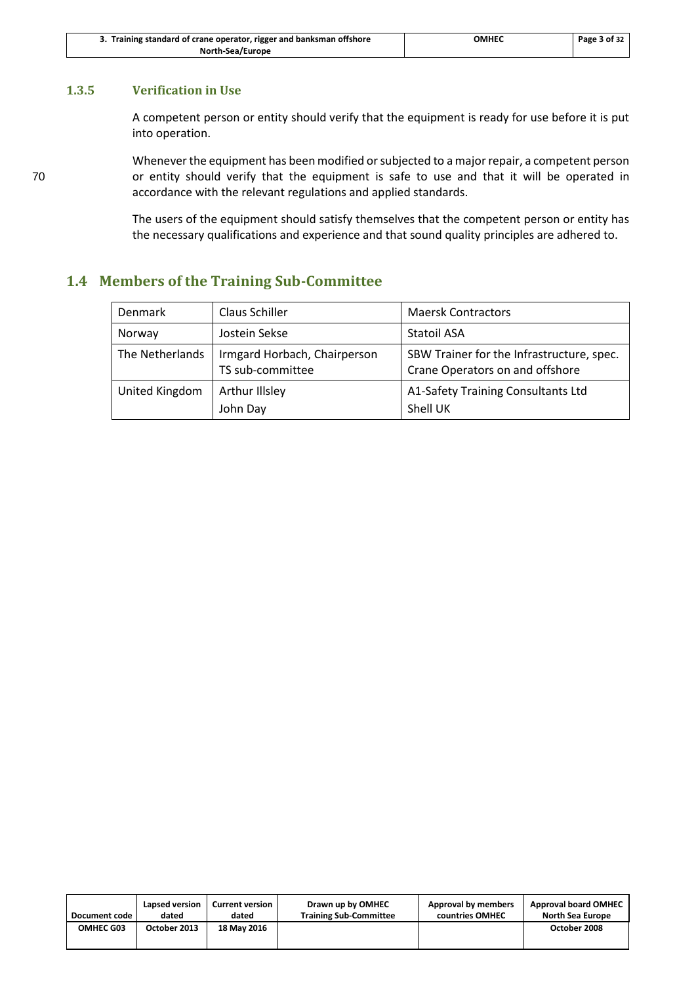| 3. Training standard of crane operator, rigger and banksman offshore | ОМНЕС | Page 3 of 32 |
|----------------------------------------------------------------------|-------|--------------|
| North-Sea/Europe                                                     |       |              |

### **1.3.5 Verification in Use**

A competent person or entity should verify that the equipment is ready for use before it is put into operation.

Whenever the equipment has been modified or subjected to a major repair, a competent person 70 or entity should verify that the equipment is safe to use and that it will be operated in accordance with the relevant regulations and applied standards.

> The users of the equipment should satisfy themselves that the competent person or entity has the necessary qualifications and experience and that sound quality principles are adhered to.

### <span id="page-6-0"></span>**1.4 Members of the Training Sub-Committee**

| Denmark         | Claus Schiller                                   | <b>Maersk Contractors</b>                                                    |
|-----------------|--------------------------------------------------|------------------------------------------------------------------------------|
| Norway          | Jostein Sekse                                    | <b>Statoil ASA</b>                                                           |
| The Netherlands | Irmgard Horbach, Chairperson<br>TS sub-committee | SBW Trainer for the Infrastructure, spec.<br>Crane Operators on and offshore |
| United Kingdom  | Arthur Illsley<br>John Day                       | A1-Safety Training Consultants Ltd<br>Shell UK                               |

| Document code    | Lapsed version | <b>Current version</b> | Drawn up by OMHEC             | Approval by members | <b>Approval board OMHEC</b> |
|------------------|----------------|------------------------|-------------------------------|---------------------|-----------------------------|
|                  | dated          | dated                  | <b>Training Sub-Committee</b> | countries OMHEC     | North Sea Europe            |
| <b>OMHEC G03</b> | October 2013   | 18 May 2016            |                               |                     | October 2008                |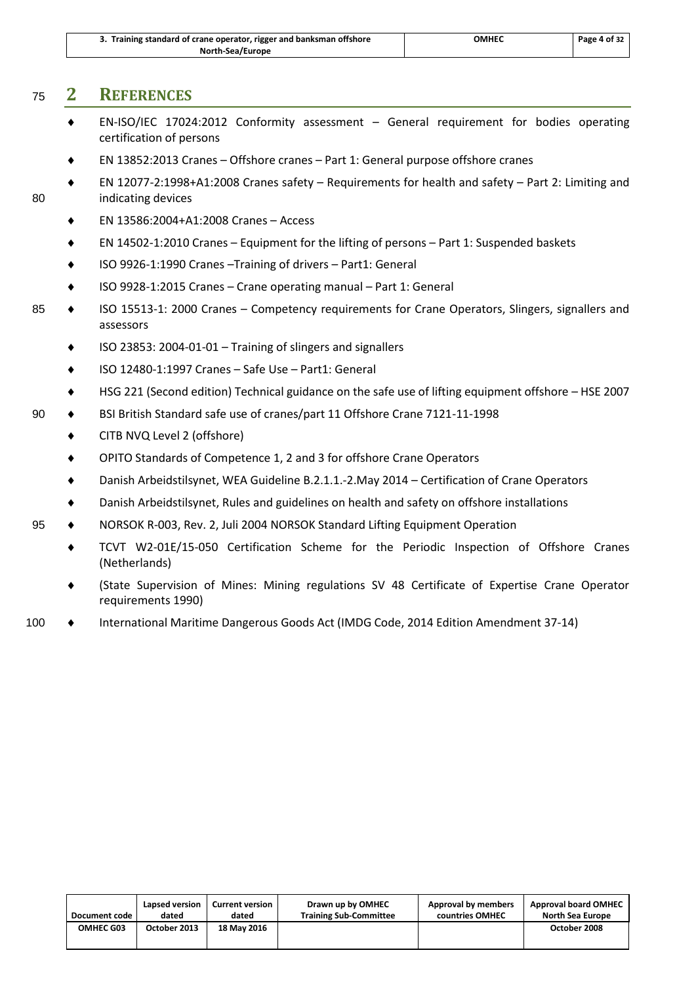| 3. Training standard of crane operator, rigger and banksman offshore | OMHEC | Page 4 of 32 |
|----------------------------------------------------------------------|-------|--------------|
| North-Sea/Europe                                                     |       |              |

### <span id="page-7-0"></span><sup>75</sup> **2 REFERENCES**

- EN-ISO/IEC 17024:2012 Conformity assessment General requirement for bodies operating certification of persons
- EN 13852:2013 Cranes Offshore cranes Part 1: General purpose offshore cranes
- EN 12077-2:1998+A1:2008 Cranes safety Requirements for health and safety Part 2: Limiting and 80 indicating devices
	- EN 13586:2004+A1:2008 Cranes Access
	- EN 14502-1:2010 Cranes Equipment for the lifting of persons Part 1: Suspended baskets
	- ISO 9926-1:1990 Cranes –Training of drivers Part1: General
	- ISO 9928-1:2015 Cranes Crane operating manual Part 1: General
- 85 ISO 15513-1: 2000 Cranes Competency requirements for Crane Operators, Slingers, signallers and assessors
	- ◆ ISO 23853: 2004-01-01 Training of slingers and signallers
	- ISO 12480-1:1997 Cranes Safe Use Part1: General
	- HSG 221 (Second edition) Technical guidance on the safe use of lifting equipment offshore HSE 2007
- 90  $\bullet$  BSI British Standard safe use of cranes/part 11 Offshore Crane 7121-11-1998
	- CITB NVQ Level 2 (offshore)
	- OPITO Standards of Competence 1, 2 and 3 for offshore Crane Operators
	- Danish Arbeidstilsynet, WEA Guideline B.2.1.1.-2.May 2014 Certification of Crane Operators
	- Danish Arbeidstilsynet, Rules and guidelines on health and safety on offshore installations
- 95  $\bullet$  NORSOK R-003, Rev. 2, Juli 2004 NORSOK Standard Lifting Equipment Operation
	- TCVT W2-01E/15-050 Certification Scheme for the Periodic Inspection of Offshore Cranes (Netherlands)
	- (State Supervision of Mines: Mining regulations SV 48 Certificate of Expertise Crane Operator requirements 1990)
- 100 . International Maritime Dangerous Goods Act (IMDG Code, 2014 Edition Amendment 37-14)

| Document code    | Lapsed version | <b>Current version</b> | Drawn up by OMHEC             | Approval by members | <b>Approval board OMHEC</b> |
|------------------|----------------|------------------------|-------------------------------|---------------------|-----------------------------|
|                  | dated          | dated                  | <b>Training Sub-Committee</b> | countries OMHEC     | North Sea Europe            |
| <b>OMHEC G03</b> | October 2013   | 18 May 2016            |                               |                     | October 2008                |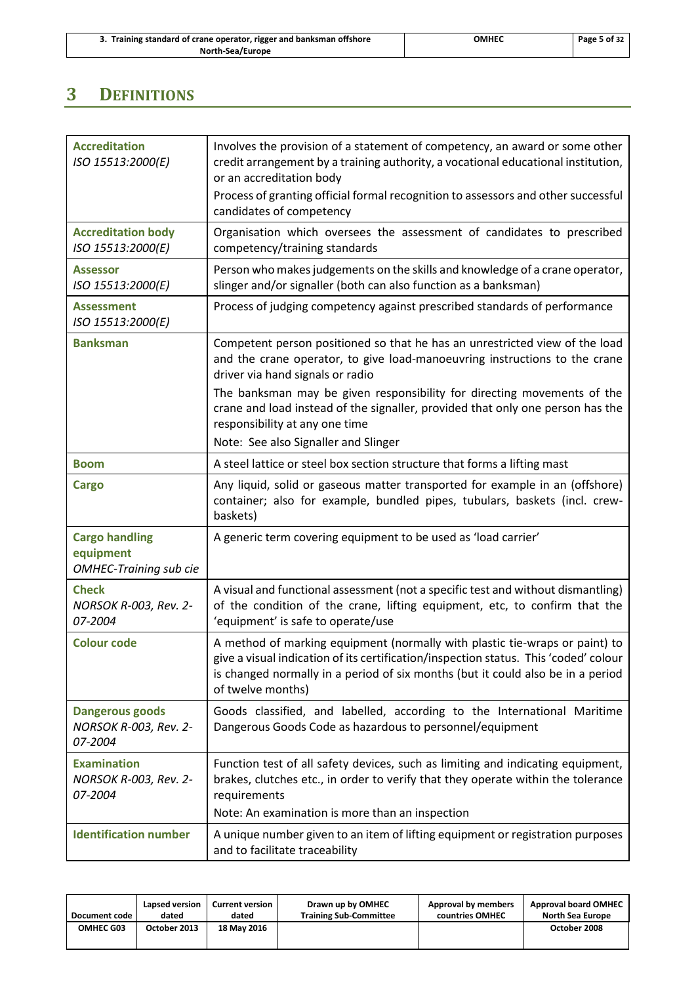| 3. Training standard of crane operator, rigger and banksman offshore |
|----------------------------------------------------------------------|
| North-Sea/Europe                                                     |

## <span id="page-8-0"></span>**3 DEFINITIONS**

| <b>Accreditation</b><br>ISO 15513:2000(E)                           | Involves the provision of a statement of competency, an award or some other<br>credit arrangement by a training authority, a vocational educational institution,<br>or an accreditation body<br>Process of granting official formal recognition to assessors and other successful<br>candidates of competency |
|---------------------------------------------------------------------|---------------------------------------------------------------------------------------------------------------------------------------------------------------------------------------------------------------------------------------------------------------------------------------------------------------|
| <b>Accreditation body</b><br>ISO 15513:2000(E)                      | Organisation which oversees the assessment of candidates to prescribed<br>competency/training standards                                                                                                                                                                                                       |
| <b>Assessor</b><br>ISO 15513:2000(E)                                | Person who makes judgements on the skills and knowledge of a crane operator,<br>slinger and/or signaller (both can also function as a banksman)                                                                                                                                                               |
| <b>Assessment</b><br>ISO 15513:2000(E)                              | Process of judging competency against prescribed standards of performance                                                                                                                                                                                                                                     |
| <b>Banksman</b>                                                     | Competent person positioned so that he has an unrestricted view of the load<br>and the crane operator, to give load-manoeuvring instructions to the crane<br>driver via hand signals or radio                                                                                                                 |
|                                                                     | The banksman may be given responsibility for directing movements of the<br>crane and load instead of the signaller, provided that only one person has the<br>responsibility at any one time                                                                                                                   |
|                                                                     | Note: See also Signaller and Slinger                                                                                                                                                                                                                                                                          |
| <b>Boom</b>                                                         | A steel lattice or steel box section structure that forms a lifting mast                                                                                                                                                                                                                                      |
| <b>Cargo</b>                                                        | Any liquid, solid or gaseous matter transported for example in an (offshore)<br>container; also for example, bundled pipes, tubulars, baskets (incl. crew-<br>baskets)                                                                                                                                        |
| <b>Cargo handling</b><br>equipment<br><b>OMHEC-Training sub cie</b> | A generic term covering equipment to be used as 'load carrier'                                                                                                                                                                                                                                                |
| <b>Check</b><br>NORSOK R-003, Rev. 2-<br>07-2004                    | A visual and functional assessment (not a specific test and without dismantling)<br>of the condition of the crane, lifting equipment, etc, to confirm that the<br>'equipment' is safe to operate/use                                                                                                          |
| <b>Colour code</b>                                                  | A method of marking equipment (normally with plastic tie-wraps or paint) to<br>give a visual indication of its certification/inspection status. This 'coded' colour<br>is changed normally in a period of six months (but it could also be in a period<br>of twelve months)                                   |
| <b>Dangerous goods</b><br>NORSOK R-003, Rev. 2-<br>07-2004          | Goods classified, and labelled, according to the International Maritime<br>Dangerous Goods Code as hazardous to personnel/equipment                                                                                                                                                                           |
| <b>Examination</b><br>NORSOK R-003, Rev. 2-<br>07-2004              | Function test of all safety devices, such as limiting and indicating equipment,<br>brakes, clutches etc., in order to verify that they operate within the tolerance<br>requirements                                                                                                                           |
|                                                                     | Note: An examination is more than an inspection                                                                                                                                                                                                                                                               |
| <b>Identification number</b>                                        | A unique number given to an item of lifting equipment or registration purposes<br>and to facilitate traceability                                                                                                                                                                                              |

| Document code    | Lapsed version | <b>Current version</b> | Drawn up by OMHEC             | <b>Approval by members</b> | <b>Approval board OMHEC</b> |
|------------------|----------------|------------------------|-------------------------------|----------------------------|-----------------------------|
|                  | dated          | dated                  | <b>Training Sub-Committee</b> | countries OMHEC            | <b>North Sea Europe</b>     |
| <b>OMHEC G03</b> | October 2013   | 18 May 2016            |                               |                            | October 2008                |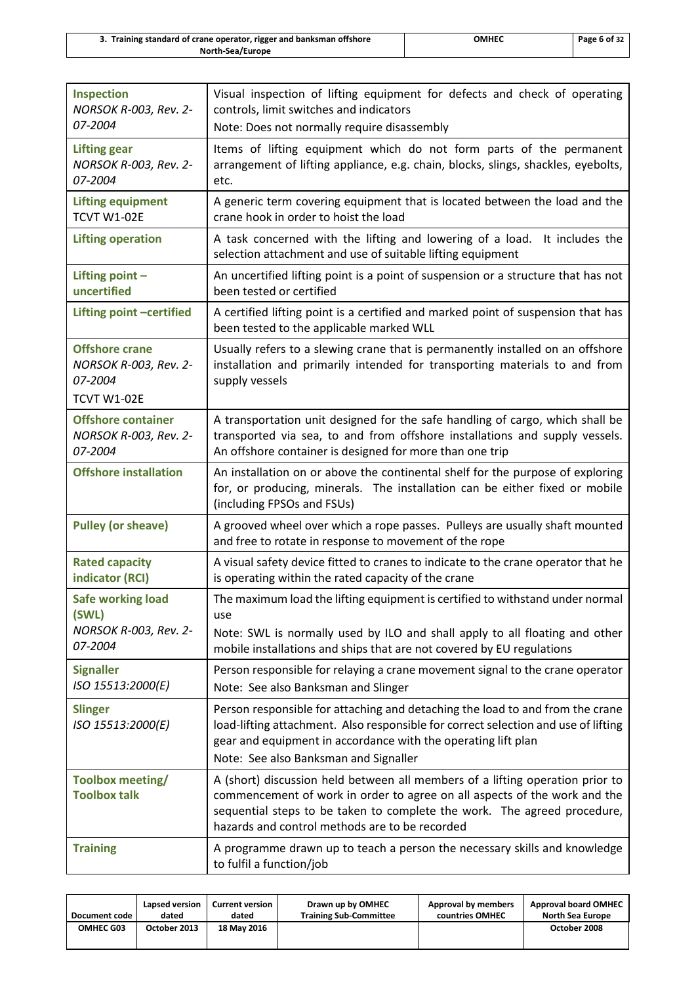| 3. Training standard of crane operator, rigger and banksman offshore | омнес | Page 6 of 32 |
|----------------------------------------------------------------------|-------|--------------|
| North-Sea/Europe                                                     |       |              |

| Inspection<br>NORSOK R-003, Rev. 2-                                             | Visual inspection of lifting equipment for defects and check of operating<br>controls, limit switches and indicators                                                                                                                                                                     |
|---------------------------------------------------------------------------------|------------------------------------------------------------------------------------------------------------------------------------------------------------------------------------------------------------------------------------------------------------------------------------------|
| 07-2004                                                                         | Note: Does not normally require disassembly                                                                                                                                                                                                                                              |
| <b>Lifting gear</b><br>NORSOK R-003, Rev. 2-<br>07-2004                         | Items of lifting equipment which do not form parts of the permanent<br>arrangement of lifting appliance, e.g. chain, blocks, slings, shackles, eyebolts,<br>etc.                                                                                                                         |
| <b>Lifting equipment</b><br><b>TCVT W1-02E</b>                                  | A generic term covering equipment that is located between the load and the<br>crane hook in order to hoist the load                                                                                                                                                                      |
| <b>Lifting operation</b>                                                        | A task concerned with the lifting and lowering of a load. It includes the<br>selection attachment and use of suitable lifting equipment                                                                                                                                                  |
| Lifting point $-$<br>uncertified                                                | An uncertified lifting point is a point of suspension or a structure that has not<br>been tested or certified                                                                                                                                                                            |
| Lifting point -certified                                                        | A certified lifting point is a certified and marked point of suspension that has<br>been tested to the applicable marked WLL                                                                                                                                                             |
| <b>Offshore crane</b><br>NORSOK R-003, Rev. 2-<br>07-2004<br><b>TCVT W1-02E</b> | Usually refers to a slewing crane that is permanently installed on an offshore<br>installation and primarily intended for transporting materials to and from<br>supply vessels                                                                                                           |
| <b>Offshore container</b><br>NORSOK R-003, Rev. 2-<br>07-2004                   | A transportation unit designed for the safe handling of cargo, which shall be<br>transported via sea, to and from offshore installations and supply vessels.<br>An offshore container is designed for more than one trip                                                                 |
| <b>Offshore installation</b>                                                    | An installation on or above the continental shelf for the purpose of exploring<br>for, or producing, minerals. The installation can be either fixed or mobile<br>(including FPSOs and FSUs)                                                                                              |
| <b>Pulley (or sheave)</b>                                                       | A grooved wheel over which a rope passes. Pulleys are usually shaft mounted<br>and free to rotate in response to movement of the rope                                                                                                                                                    |
| <b>Rated capacity</b><br>indicator (RCI)                                        | A visual safety device fitted to cranes to indicate to the crane operator that he<br>is operating within the rated capacity of the crane                                                                                                                                                 |
| <b>Safe working load</b><br>(SWL)                                               | The maximum load the lifting equipment is certified to withstand under normal<br>use                                                                                                                                                                                                     |
| NORSOK R-003, Rev. 2-<br>07-2004                                                | Note: SWL is normally used by ILO and shall apply to all floating and other<br>mobile installations and ships that are not covered by EU regulations                                                                                                                                     |
| <b>Signaller</b><br>ISO 15513:2000(E)                                           | Person responsible for relaying a crane movement signal to the crane operator<br>Note: See also Banksman and Slinger                                                                                                                                                                     |
| <b>Slinger</b><br>ISO 15513:2000(E)                                             | Person responsible for attaching and detaching the load to and from the crane<br>load-lifting attachment. Also responsible for correct selection and use of lifting<br>gear and equipment in accordance with the operating lift plan<br>Note: See also Banksman and Signaller            |
| Toolbox meeting/<br><b>Toolbox talk</b>                                         | A (short) discussion held between all members of a lifting operation prior to<br>commencement of work in order to agree on all aspects of the work and the<br>sequential steps to be taken to complete the work. The agreed procedure,<br>hazards and control methods are to be recorded |
| <b>Training</b>                                                                 | A programme drawn up to teach a person the necessary skills and knowledge<br>to fulfil a function/job                                                                                                                                                                                    |

| Document code | Lapsed version | <b>Current version</b> | Drawn up by OMHEC             | Approval by members | <b>Approval board OMHEC</b> |
|---------------|----------------|------------------------|-------------------------------|---------------------|-----------------------------|
|               | dated          | dated                  | <b>Training Sub-Committee</b> | countries OMHEC     | North Sea Europe            |
| OMHEC G03     | October 2013   | 18 May 2016            |                               |                     | October 2008                |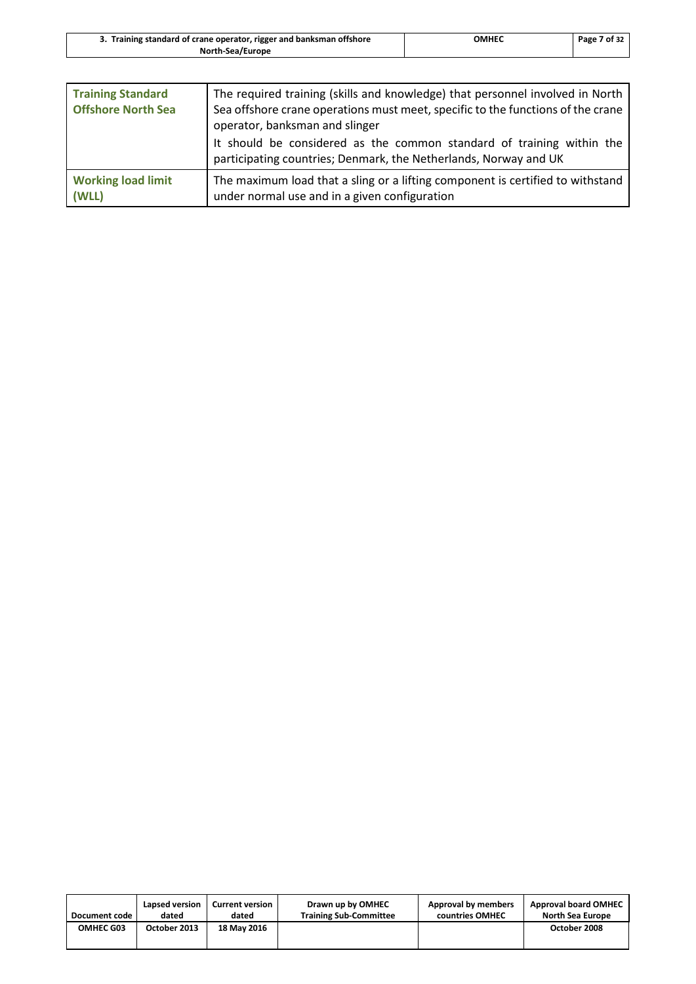| 3. Training standard of crane operator, rigger and banksman offshore | OMHEC | Page 7 of 32 |
|----------------------------------------------------------------------|-------|--------------|
| <b>North-Sea/Europe</b>                                              |       |              |
|                                                                      |       |              |

| <b>Training Standard</b><br><b>Offshore North Sea</b> | The required training (skills and knowledge) that personnel involved in North<br>Sea offshore crane operations must meet, specific to the functions of the crane<br>operator, banksman and slinger<br>It should be considered as the common standard of training within the<br>participating countries; Denmark, the Netherlands, Norway and UK |
|-------------------------------------------------------|-------------------------------------------------------------------------------------------------------------------------------------------------------------------------------------------------------------------------------------------------------------------------------------------------------------------------------------------------|
|                                                       |                                                                                                                                                                                                                                                                                                                                                 |
| <b>Working load limit</b><br>(WLL)                    | The maximum load that a sling or a lifting component is certified to withstand<br>under normal use and in a given configuration                                                                                                                                                                                                                 |

| Document code | Lapsed version | <b>Current version</b> | Drawn up by OMHEC             | Approval by members | <b>Approval board OMHEC</b> |
|---------------|----------------|------------------------|-------------------------------|---------------------|-----------------------------|
|               | dated          | dated                  | <b>Training Sub-Committee</b> | countries OMHEC     | North Sea Europe            |
| OMHEC G03     | October 2013   | 18 May 2016            |                               |                     | October 2008                |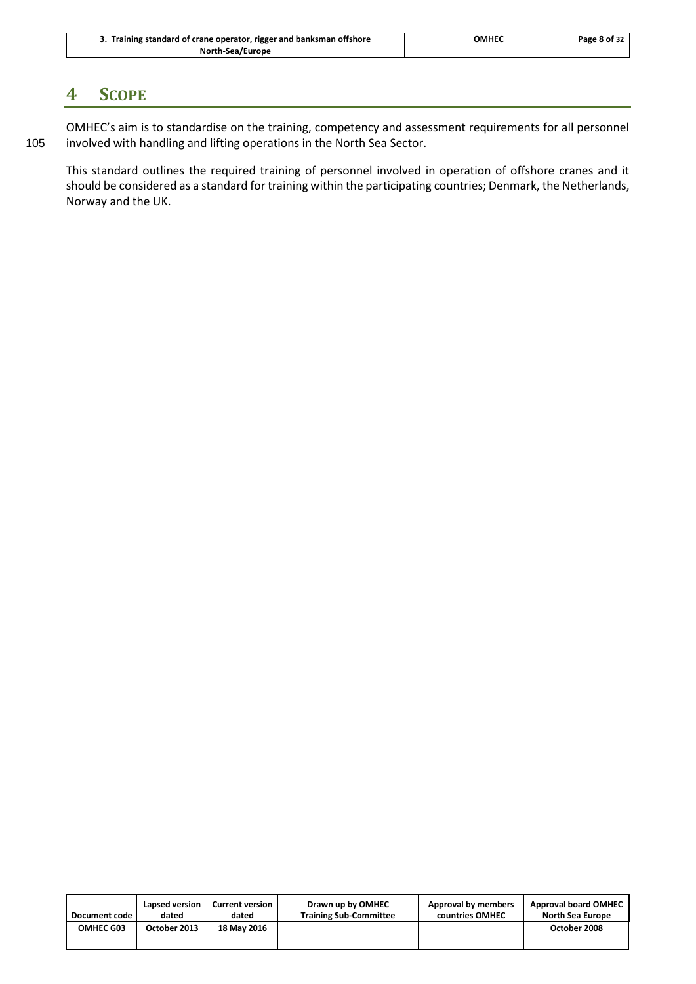| 3. Training standard of crane operator, rigger and banksman offshore | ОМНЕС | Page 8 of 32 |
|----------------------------------------------------------------------|-------|--------------|
| <b>North-Sea/Europe</b>                                              |       |              |

### <span id="page-11-0"></span>**4 SCOPE**

OMHEC's aim is to standardise on the training, competency and assessment requirements for all personnel 105 involved with handling and lifting operations in the North Sea Sector.

This standard outlines the required training of personnel involved in operation of offshore cranes and it should be considered as a standard for training within the participating countries; Denmark, the Netherlands, Norway and the UK.

| Document code | Lapsed version | <b>Current version</b> | Drawn up by OMHEC             | Approval by members | <b>Approval board OMHEC</b> |
|---------------|----------------|------------------------|-------------------------------|---------------------|-----------------------------|
|               | dated          | dated                  | <b>Training Sub-Committee</b> | countries OMHEC     | North Sea Europe            |
| OMHEC G03     | October 2013   | 18 May 2016            |                               |                     | October 2008                |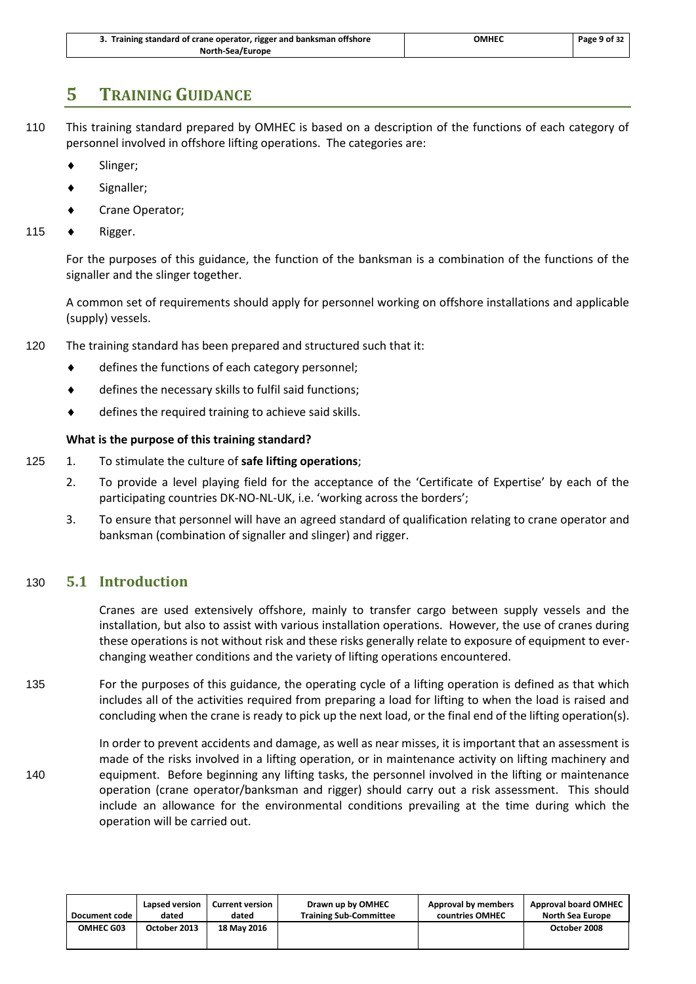| 3. Training standard of crane operator, rigger and banksman offshore | ОМНЕС | Page 9 of 32 |
|----------------------------------------------------------------------|-------|--------------|
| North-Sea/Europe                                                     |       |              |

### <span id="page-12-0"></span>**5 TRAINING GUIDANCE**

- 110 This training standard prepared by OMHEC is based on a description of the functions of each category of personnel involved in offshore lifting operations. The categories are:
	- Slinger;
	- Signaller;
	- Crane Operator;
- 115 ◆ Rigger.

For the purposes of this guidance, the function of the banksman is a combination of the functions of the signaller and the slinger together.

A common set of requirements should apply for personnel working on offshore installations and applicable (supply) vessels.

- 120 The training standard has been prepared and structured such that it:
	- ◆ defines the functions of each category personnel;
	- defines the necessary skills to fulfil said functions;
	- ◆ defines the required training to achieve said skills.

### **What is the purpose of this training standard?**

- 125 1. To stimulate the culture of **safe lifting operations**;
	- 2. To provide a level playing field for the acceptance of the 'Certificate of Expertise' by each of the participating countries DK-NO-NL-UK, i.e. 'working across the borders';
	- 3. To ensure that personnel will have an agreed standard of qualification relating to crane operator and banksman (combination of signaller and slinger) and rigger.

### <span id="page-12-1"></span>130 **5.1 Introduction**

Cranes are used extensively offshore, mainly to transfer cargo between supply vessels and the installation, but also to assist with various installation operations. However, the use of cranes during these operations is not without risk and these risks generally relate to exposure of equipment to everchanging weather conditions and the variety of lifting operations encountered.

135 For the purposes of this guidance, the operating cycle of a lifting operation is defined as that which includes all of the activities required from preparing a load for lifting to when the load is raised and concluding when the crane is ready to pick up the next load, or the final end of the lifting operation(s).

In order to prevent accidents and damage, as well as near misses, it is important that an assessment is made of the risks involved in a lifting operation, or in maintenance activity on lifting machinery and 140 equipment. Before beginning any lifting tasks, the personnel involved in the lifting or maintenance operation (crane operator/banksman and rigger) should carry out a risk assessment. This should include an allowance for the environmental conditions prevailing at the time during which the operation will be carried out.

| Document code | Lapsed version | <b>Current version</b> | Drawn up by OMHEC             | Approval by members | <b>Approval board OMHEC</b> |
|---------------|----------------|------------------------|-------------------------------|---------------------|-----------------------------|
|               | dated          | dated                  | <b>Training Sub-Committee</b> | countries OMHEC     | <b>North Sea Europe</b>     |
| OMHEC G03     | October 2013   | <b>18 May 2016</b>     |                               |                     | October 2008                |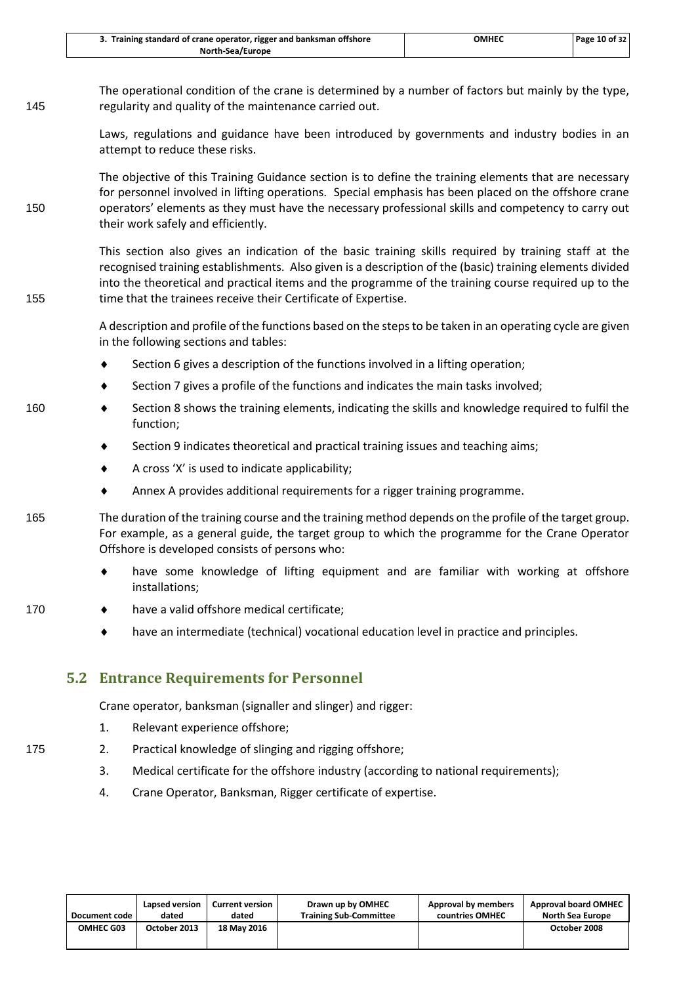| 3. Training standard of crane operator, rigger and banksman offshore | ОМНЕС | Page 10 of 32 |
|----------------------------------------------------------------------|-------|---------------|
| North-Sea/Europe                                                     |       |               |

The operational condition of the crane is determined by a number of factors but mainly by the type, 145 regularity and quality of the maintenance carried out.

> Laws, regulations and guidance have been introduced by governments and industry bodies in an attempt to reduce these risks.

The objective of this Training Guidance section is to define the training elements that are necessary for personnel involved in lifting operations. Special emphasis has been placed on the offshore crane 150 operators' elements as they must have the necessary professional skills and competency to carry out their work safely and efficiently.

This section also gives an indication of the basic training skills required by training staff at the recognised training establishments. Also given is a description of the (basic) training elements divided into the theoretical and practical items and the programme of the training course required up to the 155 time that the trainees receive their Certificate of Expertise.

> A description and profile of the functions based on the steps to be taken in an operating cycle are given in the following sections and tables:

- ◆ Section 6 gives a description of the functions involved in a lifting operation;
- Section 7 gives a profile of the functions and indicates the main tasks involved;
- 160 Section 8 shows the training elements, indicating the skills and knowledge required to fulfil the function;
	- Section 9 indicates theoretical and practical training issues and teaching aims;
	- $\triangleleft$  A cross 'X' is used to indicate applicability;
	- Annex A provides additional requirements for a rigger training programme.

165 The duration of the training course and the training method depends on the profile of the target group. For example, as a general guide, the target group to which the programme for the Crane Operator Offshore is developed consists of persons who:

- have some knowledge of lifting equipment and are familiar with working at offshore installations;
- 170 **•** have a valid offshore medical certificate;
	- have an intermediate (technical) vocational education level in practice and principles.

### <span id="page-13-0"></span>**5.2 Entrance Requirements for Personnel**

Crane operator, banksman (signaller and slinger) and rigger:

- 1. Relevant experience offshore;
- 175 2. Practical knowledge of slinging and rigging offshore;
	- 3. Medical certificate for the offshore industry (according to national requirements);
	- 4. Crane Operator, Banksman, Rigger certificate of expertise.

| Document code    | Lapsed version | <b>Current version</b> | Drawn up by OMHEC             | Approval by members | <b>Approval board OMHEC</b> |
|------------------|----------------|------------------------|-------------------------------|---------------------|-----------------------------|
|                  | dated          | dated                  | <b>Training Sub-Committee</b> | countries OMHEC     | North Sea Europe            |
| <b>OMHEC G03</b> | October 2013   | 18 May 2016            |                               |                     | October 2008                |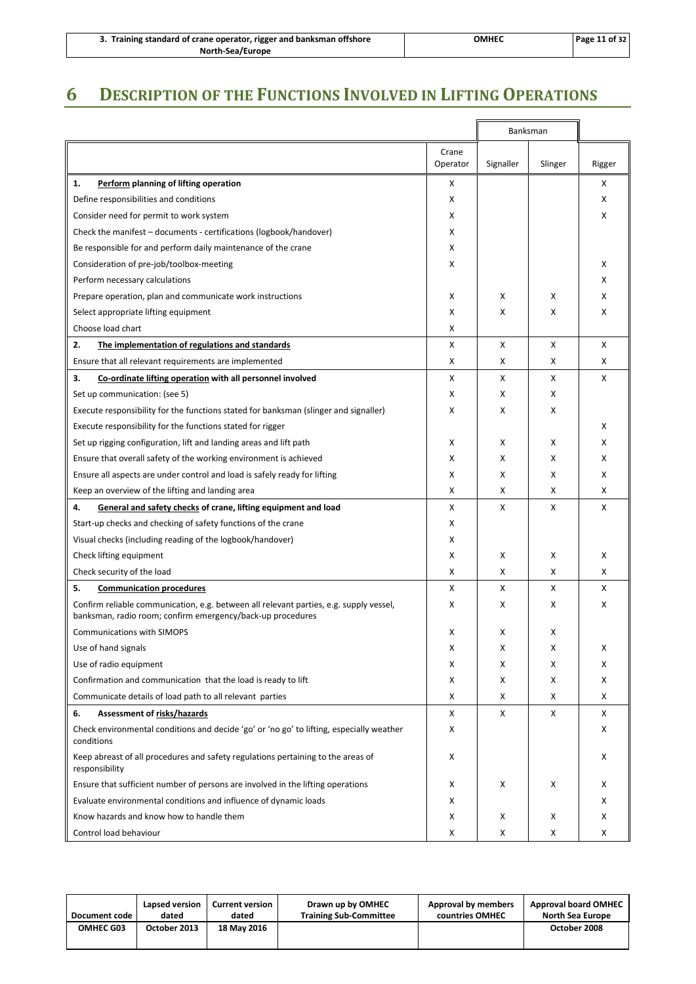| 3. Training standard of crane operator, rigger and banksman offshore | ОМНЕС | Page 11 of 32 |
|----------------------------------------------------------------------|-------|---------------|
| North-Sea/Europe                                                     |       |               |

## <span id="page-14-0"></span>**6 DESCRIPTION OF THE FUNCTIONS INVOLVED IN LIFTING OPERATIONS**

|                                                                                                                                                      |                   |           | Banksman |        |
|------------------------------------------------------------------------------------------------------------------------------------------------------|-------------------|-----------|----------|--------|
|                                                                                                                                                      | Crane<br>Operator | Signaller | Slinger  | Rigger |
| 1.<br>Perform planning of lifting operation                                                                                                          | x                 |           |          | x      |
| Define responsibilities and conditions                                                                                                               | X                 |           |          | X      |
| Consider need for permit to work system                                                                                                              | X                 |           |          | X      |
| Check the manifest - documents - certifications (logbook/handover)                                                                                   | x                 |           |          |        |
| Be responsible for and perform daily maintenance of the crane                                                                                        | x                 |           |          |        |
| Consideration of pre-job/toolbox-meeting                                                                                                             | x                 |           |          | х      |
| Perform necessary calculations                                                                                                                       |                   |           |          | X      |
| Prepare operation, plan and communicate work instructions                                                                                            | х                 | X         | х        | X      |
| Select appropriate lifting equipment                                                                                                                 | x                 | х         | х        | x      |
| Choose load chart                                                                                                                                    | x                 |           |          |        |
| 2.<br>The implementation of regulations and standards                                                                                                | X                 | X         | X        | X      |
| Ensure that all relevant requirements are implemented                                                                                                | X                 | X         | X        | X      |
| 3.<br>Co-ordinate lifting operation with all personnel involved                                                                                      | X                 | X         | X        | X      |
| Set up communication: (see 5)                                                                                                                        | x                 | X         | X        |        |
| Execute responsibility for the functions stated for banksman (slinger and signaller)                                                                 | x                 | X         | х        |        |
| Execute responsibility for the functions stated for rigger                                                                                           |                   |           |          | х      |
| Set up rigging configuration, lift and landing areas and lift path                                                                                   | х                 | X         | х        | X      |
| Ensure that overall safety of the working environment is achieved                                                                                    | X                 | X         | X        | X      |
| Ensure all aspects are under control and load is safely ready for lifting                                                                            | X                 | X         | X        | X      |
|                                                                                                                                                      | x                 | x         | х        | X      |
| Keep an overview of the lifting and landing area                                                                                                     |                   |           |          |        |
| 4.<br>General and safety checks of crane, lifting equipment and load                                                                                 | x                 | X         | X        | X      |
| Start-up checks and checking of safety functions of the crane                                                                                        | X                 |           |          |        |
| Visual checks (including reading of the logbook/handover)                                                                                            | x                 |           |          |        |
| Check lifting equipment                                                                                                                              | х                 | X         | х        | X      |
| Check security of the load                                                                                                                           | x                 | х         | х        | X      |
| 5.<br><b>Communication procedures</b>                                                                                                                | X                 | X         | X        | X      |
| Confirm reliable communication, e.g. between all relevant parties, e.g. supply vessel,<br>banksman, radio room; confirm emergency/back-up procedures | X                 | X         | х        | X      |
| <b>Communications with SIMOPS</b>                                                                                                                    | X                 | X         | X        |        |
| Use of hand signals                                                                                                                                  | X                 | X         | х        | x      |
| Use of radio equipment                                                                                                                               | x                 | х         | х        | x      |
| Confirmation and communication that the load is ready to lift                                                                                        | x                 | х         | х        | x      |
| Communicate details of load path to all relevant parties                                                                                             | x                 | х         | х        | X      |
| 6.<br>Assessment of risks/hazards                                                                                                                    | X                 | Χ         | X        | X      |
| Check environmental conditions and decide 'go' or 'no go' to lifting, especially weather<br>conditions                                               | X                 |           |          | x      |
| Keep abreast of all procedures and safety regulations pertaining to the areas of<br>responsibility                                                   | X                 |           |          | x      |
| Ensure that sufficient number of persons are involved in the lifting operations                                                                      | x                 | х         | X        | x      |
| Evaluate environmental conditions and influence of dynamic loads                                                                                     | x                 |           |          | X      |
| Know hazards and know how to handle them                                                                                                             | x                 | х         | х        | X      |
| Control load behaviour                                                                                                                               | х                 | х         | х        | x      |

| Document code | Lapsed version | <b>Current version</b> | Drawn up by OMHEC             | Approval by members | <b>Approval board OMHEC</b> |
|---------------|----------------|------------------------|-------------------------------|---------------------|-----------------------------|
|               | dated          | dated                  | <b>Training Sub-Committee</b> | countries OMHEC     | <b>North Sea Europe</b>     |
| OMHEC G03     | October 2013   | 18 May 2016            |                               |                     | October 2008                |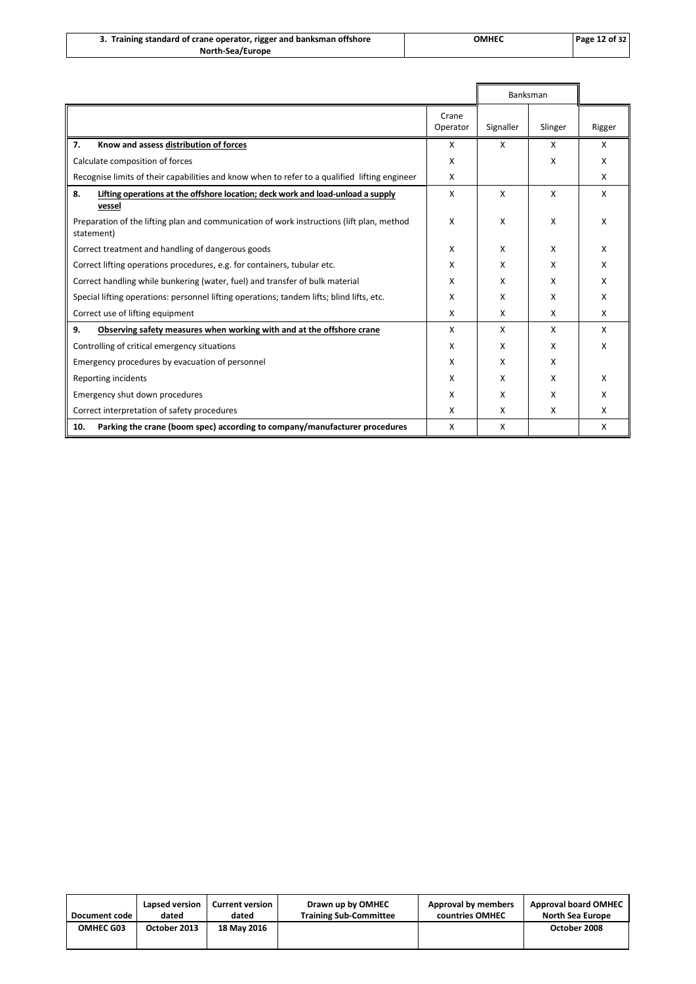| 3. Training standard of crane operator, rigger and banksman offshore | ОМНЕС | <b>Page 12 of 32</b> |
|----------------------------------------------------------------------|-------|----------------------|
| North-Sea/Europe                                                     |       |                      |

|                                                                                                         |                   |           | Banksman |        |
|---------------------------------------------------------------------------------------------------------|-------------------|-----------|----------|--------|
|                                                                                                         | Crane<br>Operator | Signaller | Slinger  | Rigger |
| 7.<br>Know and assess distribution of forces                                                            | x                 | X         | X        | X      |
| Calculate composition of forces                                                                         | X                 |           | x        | X      |
| Recognise limits of their capabilities and know when to refer to a qualified lifting engineer           | X                 |           |          | X      |
| 8.<br>Lifting operations at the offshore location; deck work and load-unload a supply<br>vessel         | x                 | X         | x        | X      |
| Preparation of the lifting plan and communication of work instructions (lift plan, method<br>statement) | x                 | X         | x        | x      |
| Correct treatment and handling of dangerous goods                                                       | X                 | X         | х        | х      |
| Correct lifting operations procedures, e.g. for containers, tubular etc.                                | X                 | X         | x        | X      |
| Correct handling while bunkering (water, fuel) and transfer of bulk material                            | X                 | X         | x        | X      |
| Special lifting operations: personnel lifting operations; tandem lifts; blind lifts, etc.               | x                 | X         | x        | x      |
| Correct use of lifting equipment                                                                        | X                 | X         | x        | X      |
| 9.<br>Observing safety measures when working with and at the offshore crane                             | X                 | X         | x        | X      |
| Controlling of critical emergency situations                                                            | X                 | X         | x        | x      |
| Emergency procedures by evacuation of personnel                                                         | X                 | X         | x        |        |
| Reporting incidents                                                                                     | X                 | X         | x        | X      |
| Emergency shut down procedures                                                                          | X                 | X         | x        | x      |
| Correct interpretation of safety procedures                                                             | X                 | X         | x        | x      |
| Parking the crane (boom spec) according to company/manufacturer procedures<br>10.                       | X                 | X         |          | х      |

| Document code    | Lapsed version | <b>Current version</b> | Drawn up by OMHEC             | Approval by members | <b>Approval board OMHEC</b> |
|------------------|----------------|------------------------|-------------------------------|---------------------|-----------------------------|
|                  | dated          | dated                  | <b>Training Sub-Committee</b> | countries OMHEC     | <b>North Sea Europe</b>     |
| <b>OMHEC G03</b> | October 2013   | <b>18 May 2016</b>     |                               |                     | October 2008                |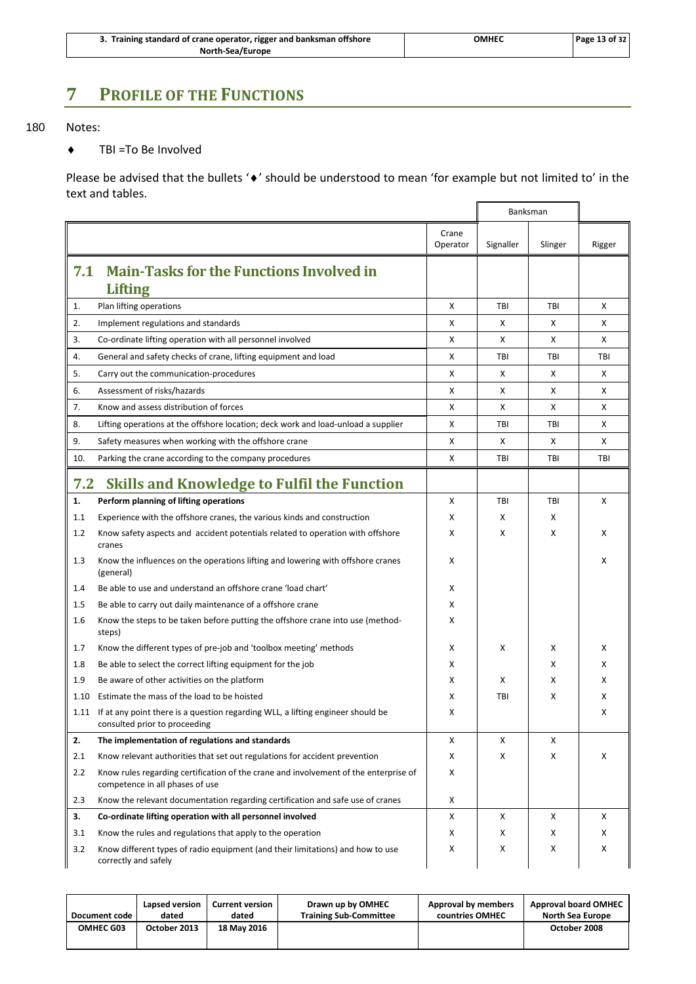| 3. Training standard of crane operator, rigger and banksman offshore | OMHEC | Page 13 of 32 |
|----------------------------------------------------------------------|-------|---------------|
| North-Sea/Europe                                                     |       |               |

### <span id="page-16-0"></span>**7 PROFILE OF THE FUNCTIONS**

### 180 Notes:

◆ TBI =To Be Involved

Please be advised that the bullets ' $\bullet$ ' should be understood to mean 'for example but not limited to' in the text and tables.  $\blacksquare$ L,

<span id="page-16-2"></span><span id="page-16-1"></span>

|      |                                                                                                                         |                   |            | Banksman   |        |
|------|-------------------------------------------------------------------------------------------------------------------------|-------------------|------------|------------|--------|
|      |                                                                                                                         | Crane<br>Operator | Signaller  | Slinger    | Rigger |
| 7.1  | <b>Main-Tasks for the Functions Involved in</b><br><b>Lifting</b>                                                       |                   |            |            |        |
| 1.   | Plan lifting operations                                                                                                 | Χ                 | TBI        | TBI        | X      |
| 2.   | Implement regulations and standards                                                                                     | x                 | х          | х          | X      |
| 3.   | Co-ordinate lifting operation with all personnel involved                                                               | X                 | X          | x          | x      |
| 4.   | General and safety checks of crane, lifting equipment and load                                                          | X                 | TBI        | TBI        | TBI    |
| 5.   | Carry out the communication-procedures                                                                                  | X                 | X          | X          | X      |
| 6.   | Assessment of risks/hazards                                                                                             | Χ                 | Χ          | х          | X      |
| 7.   | Know and assess distribution of forces                                                                                  | X                 | X          | x          | X      |
| 8.   | Lifting operations at the offshore location; deck work and load-unload a supplier                                       | x                 | TBI        | TBI        | x      |
| 9.   | Safety measures when working with the offshore crane                                                                    | Χ                 | Χ          | х          | X      |
| 10.  | Parking the crane according to the company procedures                                                                   | X                 | <b>TBI</b> | <b>TBI</b> | TBI    |
| 7.2  | <b>Skills and Knowledge to Fulfil the Function</b>                                                                      |                   |            |            |        |
| 1.   | Perform planning of lifting operations                                                                                  | X                 | TBI        | TBI        | x      |
| 1.1  | Experience with the offshore cranes, the various kinds and construction                                                 | X                 | X          | х          |        |
| 1.2  | Know safety aspects and accident potentials related to operation with offshore<br>cranes                                | X                 | X          | X          | X      |
| 1.3  | Know the influences on the operations lifting and lowering with offshore cranes<br>(general)                            | х                 |            |            | x      |
| 1.4  | Be able to use and understand an offshore crane 'load chart'                                                            | х                 |            |            |        |
| 1.5  | Be able to carry out daily maintenance of a offshore crane                                                              | х                 |            |            |        |
| 1.6  | Know the steps to be taken before putting the offshore crane into use (method-<br>steps)                                | х                 |            |            |        |
| 1.7  | Know the different types of pre-job and 'toolbox meeting' methods                                                       | х                 | х          | х          | х      |
| 1.8  | Be able to select the correct lifting equipment for the job                                                             | х                 |            | х          | х      |
| 1.9  | Be aware of other activities on the platform                                                                            | X                 | X          | X          | X      |
| 1.10 | Estimate the mass of the load to be hoisted                                                                             | x                 | TBI        | х          | x      |
| 1.11 | If at any point there is a question regarding WLL, a lifting engineer should be<br>consulted prior to proceeding        | X                 |            |            | X      |
| 2.   | The implementation of regulations and standards                                                                         | х                 | Χ          | х          |        |
| 2.1  | Know relevant authorities that set out regulations for accident prevention                                              | Χ                 | Χ          | x          | X      |
| 2.2  | Know rules regarding certification of the crane and involvement of the enterprise of<br>competence in all phases of use | Χ                 |            |            |        |
| 2.3  | Know the relevant documentation regarding certification and safe use of cranes                                          | x                 |            |            |        |
| 3.   | Co-ordinate lifting operation with all personnel involved                                                               | Χ                 | X          | x          | X      |
| 3.1  | Know the rules and regulations that apply to the operation                                                              | x                 | Χ          | х          | x      |
| 3.2  | Know different types of radio equipment (and their limitations) and how to use<br>correctly and safely                  | х                 | х          | х          | X      |

| Document code    | Lapsed version | <b>Current version</b> | Drawn up by OMHEC             | Approval by members | <b>Approval board OMHEC</b> |
|------------------|----------------|------------------------|-------------------------------|---------------------|-----------------------------|
|                  | dated          | dated                  | <b>Training Sub-Committee</b> | countries OMHEC     | North Sea Europe            |
| <b>OMHEC G03</b> | October 2013   | 18 May 2016            |                               |                     | October 2008                |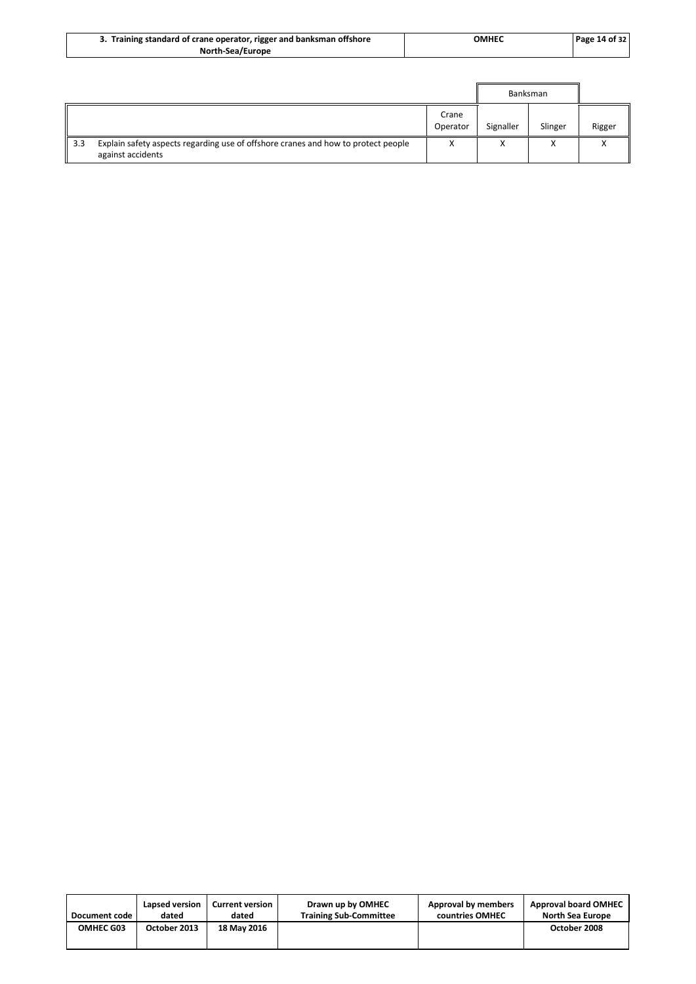| '. Training standard of crane operator, rigger and banksman offshore | <b>OMHEC</b> | Page 14 of $321$ |
|----------------------------------------------------------------------|--------------|------------------|
| North-Sea/Europe                                                     |              |                  |

|             |                                                                                                        |                   |                        | Banksman |        |  |
|-------------|--------------------------------------------------------------------------------------------------------|-------------------|------------------------|----------|--------|--|
|             |                                                                                                        | Crane<br>Operator | Signaller              | Slinger  | Rigger |  |
| $\vert$ 3.3 | Explain safety aspects regarding use of offshore cranes and how to protect people<br>against accidents |                   | $\lambda$<br>$\lambda$ | ́        |        |  |

| Document code    | Lapsed version | <b>Current version</b> | Drawn up by OMHEC             | Approval by members | <b>Approval board OMHEC</b> |
|------------------|----------------|------------------------|-------------------------------|---------------------|-----------------------------|
|                  | dated          | dated                  | <b>Training Sub-Committee</b> | countries OMHEC     | <b>North Sea Europe</b>     |
| <b>OMHEC G03</b> | October 2013   | 18 May 2016            |                               |                     | October 2008                |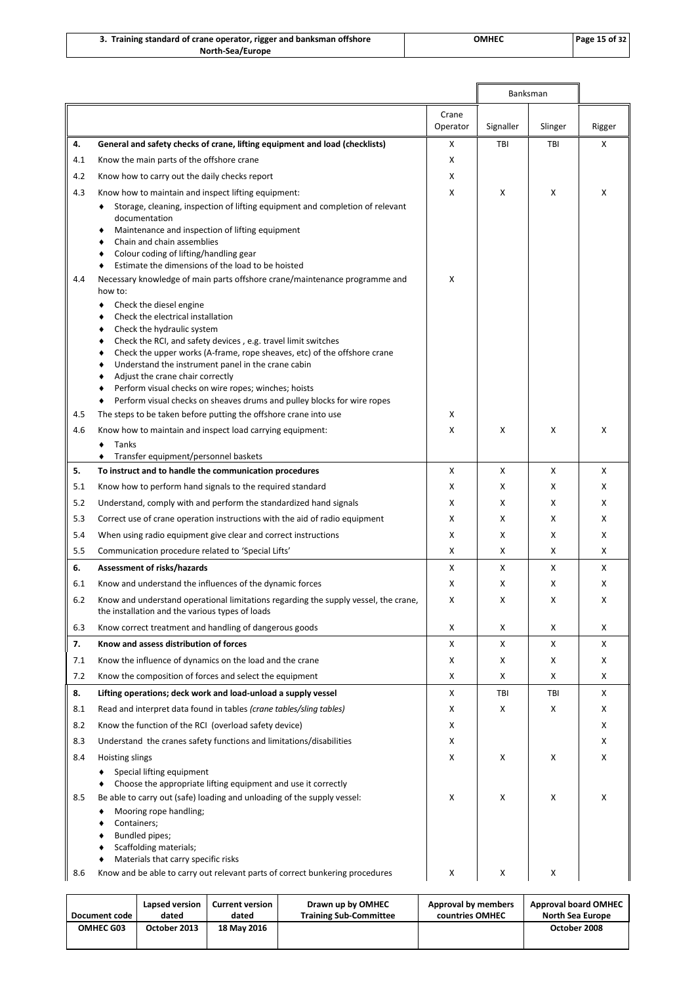| Training standard of crane operator, rigger and banksman offshore | <b>OMHEL</b> | Page 15 of 32 |
|-------------------------------------------------------------------|--------------|---------------|
| <b>North-Sea/Europe</b>                                           |              |               |

|     |                                                                                                                                                                                                                                                                                                                                                                                                                                                                                                                                                                                  |                   |           | Banksman |        |
|-----|----------------------------------------------------------------------------------------------------------------------------------------------------------------------------------------------------------------------------------------------------------------------------------------------------------------------------------------------------------------------------------------------------------------------------------------------------------------------------------------------------------------------------------------------------------------------------------|-------------------|-----------|----------|--------|
|     |                                                                                                                                                                                                                                                                                                                                                                                                                                                                                                                                                                                  | Crane<br>Operator | Signaller | Slinger  | Rigger |
| 4.  | General and safety checks of crane, lifting equipment and load (checklists)                                                                                                                                                                                                                                                                                                                                                                                                                                                                                                      | X                 | TBI       | TBI      | X      |
| 4.1 | Know the main parts of the offshore crane                                                                                                                                                                                                                                                                                                                                                                                                                                                                                                                                        | X                 |           |          |        |
| 4.2 | Know how to carry out the daily checks report                                                                                                                                                                                                                                                                                                                                                                                                                                                                                                                                    | x                 |           |          |        |
| 4.3 | Know how to maintain and inspect lifting equipment:                                                                                                                                                                                                                                                                                                                                                                                                                                                                                                                              | X                 | х         | х        | X      |
|     | Storage, cleaning, inspection of lifting equipment and completion of relevant<br>documentation<br>Maintenance and inspection of lifting equipment<br>Chain and chain assemblies<br>Colour coding of lifting/handling gear<br>٠<br>Estimate the dimensions of the load to be hoisted<br>٠                                                                                                                                                                                                                                                                                         | X                 |           |          |        |
| 4.4 | Necessary knowledge of main parts offshore crane/maintenance programme and<br>how to:                                                                                                                                                                                                                                                                                                                                                                                                                                                                                            |                   |           |          |        |
| 4.5 | Check the diesel engine<br>Check the electrical installation<br>٠<br>Check the hydraulic system<br>٠<br>Check the RCI, and safety devices, e.g. travel limit switches<br>٠<br>Check the upper works (A-frame, rope sheaves, etc) of the offshore crane<br>٠<br>Understand the instrument panel in the crane cabin<br>٠<br>Adjust the crane chair correctly<br>٠<br>Perform visual checks on wire ropes; winches; hoists<br>٠<br>Perform visual checks on sheaves drums and pulley blocks for wire ropes<br>٠<br>The steps to be taken before putting the offshore crane into use | X                 |           |          |        |
| 4.6 | Know how to maintain and inspect load carrying equipment:                                                                                                                                                                                                                                                                                                                                                                                                                                                                                                                        | X                 | х         | х        | X      |
|     | Tanks                                                                                                                                                                                                                                                                                                                                                                                                                                                                                                                                                                            |                   |           |          |        |
|     | Transfer equipment/personnel baskets                                                                                                                                                                                                                                                                                                                                                                                                                                                                                                                                             |                   |           |          |        |
| 5.  | To instruct and to handle the communication procedures                                                                                                                                                                                                                                                                                                                                                                                                                                                                                                                           | X                 | X         | Х        | X      |
| 5.1 | Know how to perform hand signals to the required standard                                                                                                                                                                                                                                                                                                                                                                                                                                                                                                                        | X                 | х         | х        | X      |
| 5.2 | Understand, comply with and perform the standardized hand signals                                                                                                                                                                                                                                                                                                                                                                                                                                                                                                                | X                 | x         | X        | X      |
| 5.3 | Correct use of crane operation instructions with the aid of radio equipment                                                                                                                                                                                                                                                                                                                                                                                                                                                                                                      | X                 | x         | х        | X      |
| 5.4 | When using radio equipment give clear and correct instructions                                                                                                                                                                                                                                                                                                                                                                                                                                                                                                                   | X                 | X         | х        | X      |
| 5.5 | Communication procedure related to 'Special Lifts'                                                                                                                                                                                                                                                                                                                                                                                                                                                                                                                               | X                 | X         | х        | X      |
| 6.  | Assessment of risks/hazards                                                                                                                                                                                                                                                                                                                                                                                                                                                                                                                                                      | X                 | x         | X        | X      |
| 6.1 | Know and understand the influences of the dynamic forces                                                                                                                                                                                                                                                                                                                                                                                                                                                                                                                         | X                 | X         | х        | X      |
| 6.2 | Know and understand operational limitations regarding the supply vessel, the crane,<br>the installation and the various types of loads                                                                                                                                                                                                                                                                                                                                                                                                                                           | X                 | х         | х        | х      |
| 6.3 | Know correct treatment and handling of dangerous goods                                                                                                                                                                                                                                                                                                                                                                                                                                                                                                                           | x                 | x         | х        | X      |
| 7.  | Know and assess distribution of forces                                                                                                                                                                                                                                                                                                                                                                                                                                                                                                                                           | x                 | x         | Х        | X      |
| 7.1 | Know the influence of dynamics on the load and the crane                                                                                                                                                                                                                                                                                                                                                                                                                                                                                                                         | X                 | x         | х        | X      |
| 7.2 | Know the composition of forces and select the equipment                                                                                                                                                                                                                                                                                                                                                                                                                                                                                                                          | x                 | x         | Х        | X      |
| 8.  | Lifting operations; deck work and load-unload a supply vessel                                                                                                                                                                                                                                                                                                                                                                                                                                                                                                                    | x                 | TBI       | TBI      | X      |
| 8.1 | Read and interpret data found in tables (crane tables/sling tables)                                                                                                                                                                                                                                                                                                                                                                                                                                                                                                              | X                 | х         | Х        | X      |
| 8.2 | Know the function of the RCI (overload safety device)                                                                                                                                                                                                                                                                                                                                                                                                                                                                                                                            | X                 |           |          | X      |
| 8.3 | Understand the cranes safety functions and limitations/disabilities                                                                                                                                                                                                                                                                                                                                                                                                                                                                                                              | x                 |           |          | Χ      |
| 8.4 | Hoisting slings                                                                                                                                                                                                                                                                                                                                                                                                                                                                                                                                                                  | x                 | х         | х        | X      |
| 8.5 | Special lifting equipment<br>٠<br>Choose the appropriate lifting equipment and use it correctly<br>Be able to carry out (safe) loading and unloading of the supply vessel:<br>Mooring rope handling;<br>Containers;<br>Bundled pipes;<br>Scaffolding materials;                                                                                                                                                                                                                                                                                                                  | x                 | х         | Х        | X      |
|     | Materials that carry specific risks                                                                                                                                                                                                                                                                                                                                                                                                                                                                                                                                              |                   |           |          |        |
| 8.6 | Know and be able to carry out relevant parts of correct bunkering procedures                                                                                                                                                                                                                                                                                                                                                                                                                                                                                                     | x                 | х         | х        |        |

| Document code    | Lapsed version | <b>Current version</b> | Drawn up by OMHEC             | Approval by members | <b>Approval board OMHEC</b> |
|------------------|----------------|------------------------|-------------------------------|---------------------|-----------------------------|
|                  | dated          | dated                  | <b>Training Sub-Committee</b> | countries OMHEC     | <b>North Sea Europe</b>     |
| <b>OMHEC G03</b> | October 2013   | 18 May 2016            |                               |                     | October 2008                |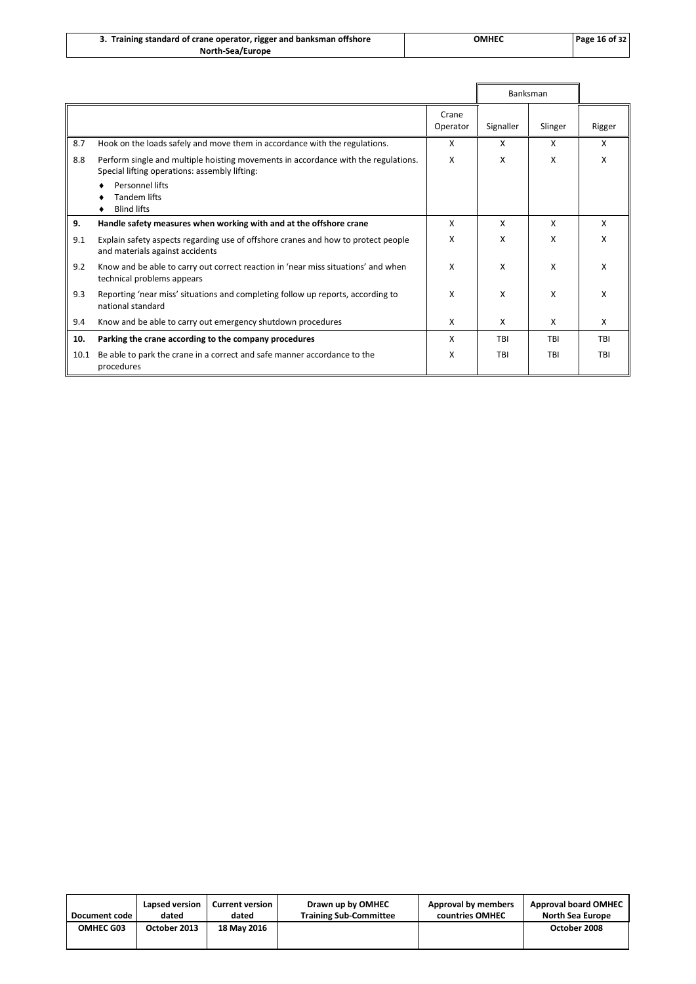| 3. Training standard of crane operator, rigger and banksman offshore | ОМНЕС | Page 16 of 32 |
|----------------------------------------------------------------------|-------|---------------|
| North-Sea/Europe                                                     |       |               |

|      |                                                                                                                                     |                   | <b>Banksman</b> |         |            |
|------|-------------------------------------------------------------------------------------------------------------------------------------|-------------------|-----------------|---------|------------|
|      |                                                                                                                                     | Crane<br>Operator | Signaller       | Slinger | Rigger     |
| 8.7  | Hook on the loads safely and move them in accordance with the regulations.                                                          | X                 | X               | X       | x          |
| 8.8  | Perform single and multiple hoisting movements in accordance with the regulations.<br>Special lifting operations: assembly lifting: | X                 | X               | X       | x          |
|      | Personnel lifts<br><b>Tandem lifts</b><br><b>Blind lifts</b>                                                                        |                   |                 |         |            |
| 9.   | Handle safety measures when working with and at the offshore crane                                                                  | x                 | X               | X       | x          |
| 9.1  | Explain safety aspects regarding use of offshore cranes and how to protect people<br>and materials against accidents                | x                 | X               | x       | x          |
| 9.2  | Know and be able to carry out correct reaction in 'near miss situations' and when<br>technical problems appears                     |                   | X               | X       | x          |
| 9.3  | Reporting 'near miss' situations and completing follow up reports, according to<br>national standard                                |                   | X               | X       | x          |
| 9.4  | Know and be able to carry out emergency shutdown procedures                                                                         | X                 | X               | X       | X          |
| 10.  | Parking the crane according to the company procedures                                                                               | X                 | TBI             | TBI     | <b>TBI</b> |
| 10.1 | Be able to park the crane in a correct and safe manner accordance to the<br>procedures                                              | X                 | TBI             | TBI     | <b>TBI</b> |

| Document code | Lapsed version | <b>Current version</b> | Drawn up by OMHEC             | Approval by members | <b>Approval board OMHEC</b> |
|---------------|----------------|------------------------|-------------------------------|---------------------|-----------------------------|
|               | dated          | dated                  | <b>Training Sub-Committee</b> | countries OMHEC     | North Sea Europe            |
| OMHEC G03     | October 2013   | 18 May 2016            |                               |                     | October 2008                |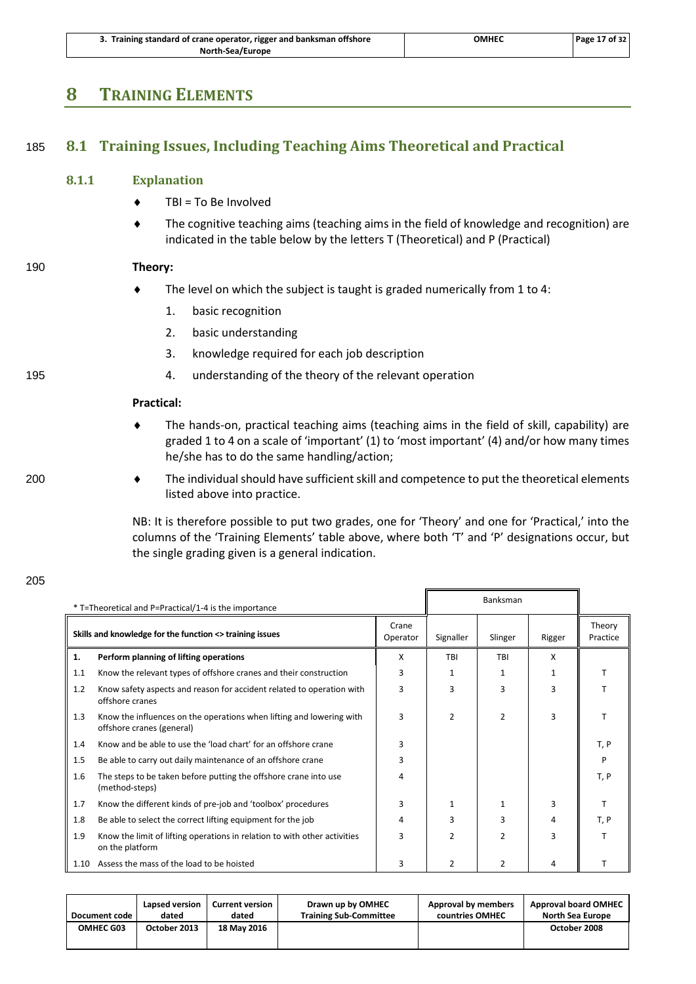| 3. Training standard of crane operator, rigger and banksman offshore | ОМНЕС | Page 17 of 32 |
|----------------------------------------------------------------------|-------|---------------|
| North-Sea/Europe                                                     |       |               |

### <span id="page-20-1"></span><span id="page-20-0"></span>**8 TRAINING ELEMENTS**

### 185 **8.1 Training Issues, Including Teaching Aims Theoretical and Practical**

### **8.1.1 Explanation**

- $\triangleleft$  TBI = To Be Involved
- The cognitive teaching aims (teaching aims in the field of knowledge and recognition) are indicated in the table below by the letters T (Theoretical) and P (Practical)

### 190 **Theory:**

- The level on which the subject is taught is graded numerically from 1 to 4:
	- 1. basic recognition
	- 2. basic understanding
	- 3. knowledge required for each job description
- 195 4. understanding of the theory of the relevant operation

### **Practical:**

- The hands-on, practical teaching aims (teaching aims in the field of skill, capability) are graded 1 to 4 on a scale of 'important' (1) to 'most important' (4) and/or how many times he/she has to do the same handling/action;
- 200 The individual should have sufficient skill and competence to put the theoretical elements listed above into practice.

NB: It is therefore possible to put two grades, one for 'Theory' and one for 'Practical,' into the columns of the 'Training Elements' table above, where both 'T' and 'P' designations occur, but the single grading given is a general indication.

| * T=Theoretical and P=Practical/1-4 is the importance                         |                                                                                                   |   |                | Banksman      |        |                    |
|-------------------------------------------------------------------------------|---------------------------------------------------------------------------------------------------|---|----------------|---------------|--------|--------------------|
| Crane<br>Skills and knowledge for the function <> training issues<br>Operator |                                                                                                   |   | Signaller      | Slinger       | Rigger | Theory<br>Practice |
| 1.                                                                            | Perform planning of lifting operations                                                            | X | TBI            | TBI           | x      |                    |
| 1.1                                                                           | Know the relevant types of offshore cranes and their construction                                 | 3 | 1              | 1             | 1      |                    |
| 1.2                                                                           | Know safety aspects and reason for accident related to operation with<br>offshore cranes          | 3 | ξ              | $\mathbf{a}$  | з      |                    |
| 1.3                                                                           | Know the influences on the operations when lifting and lowering with<br>offshore cranes (general) | 3 | $\overline{2}$ | $\mathcal{P}$ | 3      |                    |
| 1.4                                                                           | Know and be able to use the 'load chart' for an offshore crane                                    | 3 |                |               |        | T, P               |
| 1.5                                                                           | Be able to carry out daily maintenance of an offshore crane                                       | 3 |                |               |        |                    |
| 1.6                                                                           | The steps to be taken before putting the offshore crane into use<br>(method-steps)                | 4 |                |               |        | T, P               |
| 1.7                                                                           | Know the different kinds of pre-job and 'toolbox' procedures                                      |   | 1              | 1             | з      |                    |
| 1.8                                                                           | Be able to select the correct lifting equipment for the job                                       | 4 | 3              | ξ             | 4      | T, P               |
| 1.9                                                                           | Know the limit of lifting operations in relation to with other activities<br>on the platform      | 3 | 2              | $\mathcal{P}$ | ς      |                    |
| 1.10                                                                          | Assess the mass of the load to be hoisted                                                         | 3 | 2              | 2             | 4      |                    |

| Document code    | Lapsed version | <b>Current version</b> | Drawn up by OMHEC             | Approval by members | <b>Approval board OMHEC</b> |
|------------------|----------------|------------------------|-------------------------------|---------------------|-----------------------------|
|                  | dated          | dated                  | <b>Training Sub-Committee</b> | countries OMHEC     | <b>North Sea Europe</b>     |
| <b>OMHEC G03</b> | October 2013   | 18 May 2016            |                               |                     | October 2008                |

205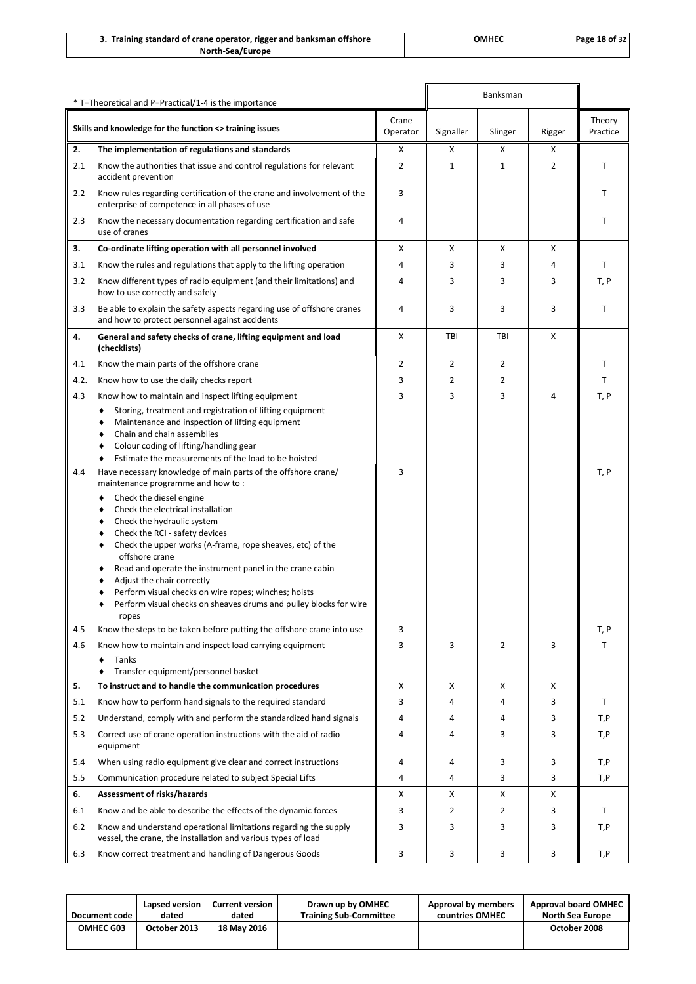| 3. Training standard of crane operator, rigger and banksman offshore | ОМНЕС | Page 18 of 32 |
|----------------------------------------------------------------------|-------|---------------|
| North-Sea/Europe                                                     |       |               |

|      | * T=Theoretical and P=Practical/1-4 is the importance                                                                                                                                                                                                                                                                                                                                                                                                                                                                                             | Banksman          |                |              |        |                    |
|------|---------------------------------------------------------------------------------------------------------------------------------------------------------------------------------------------------------------------------------------------------------------------------------------------------------------------------------------------------------------------------------------------------------------------------------------------------------------------------------------------------------------------------------------------------|-------------------|----------------|--------------|--------|--------------------|
|      | Skills and knowledge for the function <> training issues                                                                                                                                                                                                                                                                                                                                                                                                                                                                                          | Crane<br>Operator | Signaller      | Slinger      | Rigger | Theory<br>Practice |
| 2.   | The implementation of regulations and standards                                                                                                                                                                                                                                                                                                                                                                                                                                                                                                   | x                 | x              | х            | х      |                    |
| 2.1  | Know the authorities that issue and control regulations for relevant<br>accident prevention                                                                                                                                                                                                                                                                                                                                                                                                                                                       | 2                 | $\mathbf{1}$   | $\mathbf{1}$ | 2      | Т                  |
| 2.2  | Know rules regarding certification of the crane and involvement of the<br>enterprise of competence in all phases of use                                                                                                                                                                                                                                                                                                                                                                                                                           | 3                 |                |              |        | T                  |
| 2.3  | Know the necessary documentation regarding certification and safe<br>use of cranes                                                                                                                                                                                                                                                                                                                                                                                                                                                                | 4                 |                |              |        | Т                  |
| 3.   | Co-ordinate lifting operation with all personnel involved                                                                                                                                                                                                                                                                                                                                                                                                                                                                                         | x                 | x              | X            | X      |                    |
| 3.1  | Know the rules and regulations that apply to the lifting operation                                                                                                                                                                                                                                                                                                                                                                                                                                                                                | 4                 | 3              | 3            | 4      | T                  |
| 3.2  | Know different types of radio equipment (and their limitations) and<br>how to use correctly and safely                                                                                                                                                                                                                                                                                                                                                                                                                                            | $\overline{4}$    | 3              | 3            | 3      | T, P               |
| 3.3  | Be able to explain the safety aspects regarding use of offshore cranes<br>and how to protect personnel against accidents                                                                                                                                                                                                                                                                                                                                                                                                                          | $\overline{4}$    | 3              | 3            | 3      | т                  |
| 4.   | General and safety checks of crane, lifting equipment and load<br>(checklists)                                                                                                                                                                                                                                                                                                                                                                                                                                                                    | X                 | TBI            | TBI          | X      |                    |
| 4.1  | Know the main parts of the offshore crane                                                                                                                                                                                                                                                                                                                                                                                                                                                                                                         | 2                 | 2              | 2            |        | т                  |
| 4.2. | Know how to use the daily checks report                                                                                                                                                                                                                                                                                                                                                                                                                                                                                                           | 3                 | $\overline{2}$ | 2            |        | т                  |
| 4.3  | Know how to maintain and inspect lifting equipment                                                                                                                                                                                                                                                                                                                                                                                                                                                                                                | 3                 | 3              | 3            | 4      | T, P               |
|      | Storing, treatment and registration of lifting equipment<br>Maintenance and inspection of lifting equipment<br>Chain and chain assemblies<br>Colour coding of lifting/handling gear<br>Estimate the measurements of the load to be hoisted                                                                                                                                                                                                                                                                                                        |                   |                |              |        |                    |
| 4.4  | Have necessary knowledge of main parts of the offshore crane/<br>maintenance programme and how to:<br>Check the diesel engine<br>Check the electrical installation<br>Check the hydraulic system<br>Check the RCI - safety devices<br>Check the upper works (A-frame, rope sheaves, etc) of the<br>offshore crane<br>Read and operate the instrument panel in the crane cabin<br>Adjust the chair correctly<br>Perform visual checks on wire ropes; winches; hoists<br>Perform visual checks on sheaves drums and pulley blocks for wire<br>ropes | 3                 |                |              |        | T, P               |
| 4.5  | Know the steps to be taken before putting the offshore crane into use                                                                                                                                                                                                                                                                                                                                                                                                                                                                             | 3                 |                |              |        | T, P               |
| 4.6  | Know how to maintain and inspect load carrying equipment<br>Tanks<br>Transfer equipment/personnel basket                                                                                                                                                                                                                                                                                                                                                                                                                                          | 3                 | 3              | 2            | 3      | т                  |
| 5.   | To instruct and to handle the communication procedures                                                                                                                                                                                                                                                                                                                                                                                                                                                                                            | X                 | x              | X            | X      |                    |
| 5.1  | Know how to perform hand signals to the required standard                                                                                                                                                                                                                                                                                                                                                                                                                                                                                         | 3                 | 4              | 4            | 3      | T                  |
| 5.2  | Understand, comply with and perform the standardized hand signals                                                                                                                                                                                                                                                                                                                                                                                                                                                                                 | 4                 | 4              | 4            | 3      | T,P                |
| 5.3  | Correct use of crane operation instructions with the aid of radio<br>equipment                                                                                                                                                                                                                                                                                                                                                                                                                                                                    | 4                 | 4              | 3            | 3      | T,P                |
| 5.4  | When using radio equipment give clear and correct instructions                                                                                                                                                                                                                                                                                                                                                                                                                                                                                    | 4                 | 4              | 3            | 3      | T,P                |
| 5.5  | Communication procedure related to subject Special Lifts                                                                                                                                                                                                                                                                                                                                                                                                                                                                                          | $\overline{4}$    | 4              | 3            | 3      | T,P                |
| 6.   | Assessment of risks/hazards                                                                                                                                                                                                                                                                                                                                                                                                                                                                                                                       | x                 | x              | х            | X      |                    |
| 6.1  | Know and be able to describe the effects of the dynamic forces                                                                                                                                                                                                                                                                                                                                                                                                                                                                                    | 3                 | 2              | 2            | 3      | Т                  |
| 6.2  | Know and understand operational limitations regarding the supply<br>vessel, the crane, the installation and various types of load                                                                                                                                                                                                                                                                                                                                                                                                                 | 3                 | 3              | 3            | 3      | T,P                |
| 6.3  | Know correct treatment and handling of Dangerous Goods                                                                                                                                                                                                                                                                                                                                                                                                                                                                                            | 3                 | 3              | 3            | 3      | T,P                |

| Document code    | Lapsed version | <b>Current version</b> | Drawn up by OMHEC             | Approval by members | <b>Approval board OMHEC</b> |
|------------------|----------------|------------------------|-------------------------------|---------------------|-----------------------------|
|                  | dated          | dated                  | <b>Training Sub-Committee</b> | countries OMHEC     | <b>North Sea Europe</b>     |
| <b>OMHEC G03</b> | October 2013   | 18 May 2016            |                               |                     | October 2008                |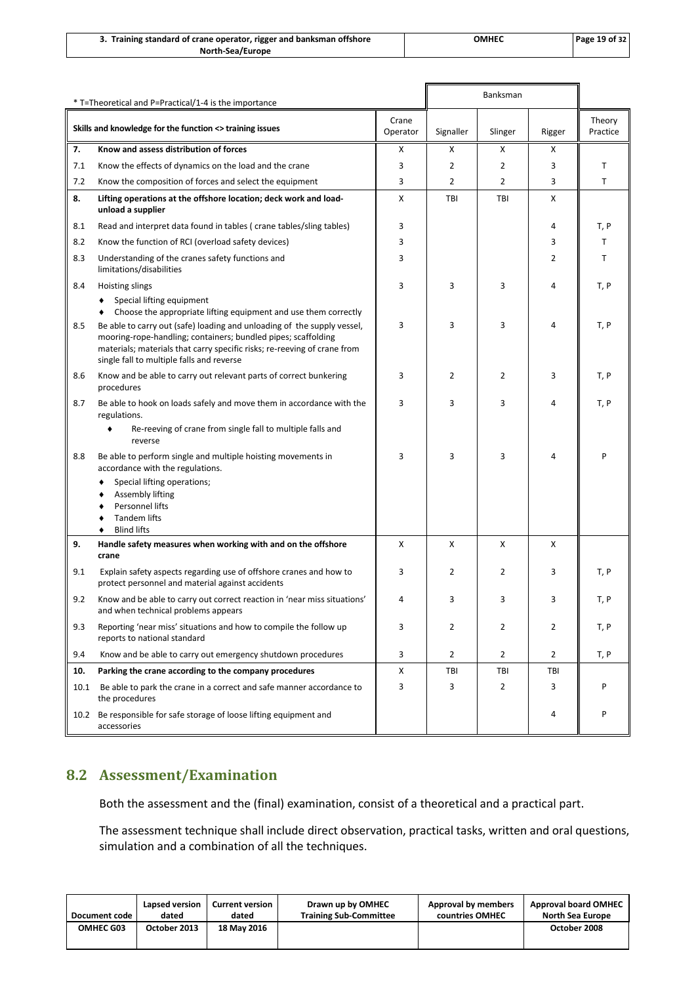| 3. Training standard of crane operator, rigger and banksman offshore | ОМНЕС | Page 19 of 32 |
|----------------------------------------------------------------------|-------|---------------|
| North-Sea/Europe                                                     |       |               |

| * T=Theoretical and P=Practical/1-4 is the importance |                                                                                                                                                                                                                                                                   |                   |                | Banksman       |                |                    |
|-------------------------------------------------------|-------------------------------------------------------------------------------------------------------------------------------------------------------------------------------------------------------------------------------------------------------------------|-------------------|----------------|----------------|----------------|--------------------|
|                                                       | Skills and knowledge for the function <> training issues                                                                                                                                                                                                          | Crane<br>Operator | Signaller      | Slinger        | Rigger         | Theory<br>Practice |
| 7.                                                    | Know and assess distribution of forces                                                                                                                                                                                                                            | X                 | х              | х              | х              |                    |
| 7.1                                                   | Know the effects of dynamics on the load and the crane                                                                                                                                                                                                            | 3                 | $\overline{2}$ | $\overline{2}$ | 3              | т                  |
| 7.2                                                   | Know the composition of forces and select the equipment                                                                                                                                                                                                           | 3                 | $\overline{2}$ | $\overline{2}$ | 3              | т                  |
| 8.                                                    | Lifting operations at the offshore location; deck work and load-<br>unload a supplier                                                                                                                                                                             | X                 | TBI            | TBI            | Χ              |                    |
| 8.1                                                   | Read and interpret data found in tables (crane tables/sling tables)                                                                                                                                                                                               | 3                 |                |                | 4              | T, P               |
| 8.2                                                   | Know the function of RCI (overload safety devices)                                                                                                                                                                                                                | 3                 |                |                | 3              | т                  |
| 8.3                                                   | Understanding of the cranes safety functions and<br>limitations/disabilities                                                                                                                                                                                      | 3                 |                |                | 2              | т                  |
| 8.4                                                   | Hoisting slings                                                                                                                                                                                                                                                   | 3                 | 3              | 3              | 4              | T, P               |
|                                                       | Special lifting equipment<br>Choose the appropriate lifting equipment and use them correctly                                                                                                                                                                      |                   |                |                |                |                    |
| 8.5                                                   | Be able to carry out (safe) loading and unloading of the supply vessel,<br>mooring-rope-handling; containers; bundled pipes; scaffolding<br>materials; materials that carry specific risks; re-reeving of crane from<br>single fall to multiple falls and reverse |                   | 3              | 3              | 4              | T, P               |
| 8.6                                                   | Know and be able to carry out relevant parts of correct bunkering<br>procedures                                                                                                                                                                                   |                   | $\overline{2}$ | 2              | 3              | T, P               |
| 8.7                                                   | Be able to hook on loads safely and move them in accordance with the<br>regulations.                                                                                                                                                                              |                   | 3              | 3              | 4              | T, P               |
|                                                       | Re-reeving of crane from single fall to multiple falls and<br>reverse                                                                                                                                                                                             |                   |                |                |                |                    |
| 8.8                                                   | Be able to perform single and multiple hoisting movements in<br>accordance with the regulations.                                                                                                                                                                  | 3                 | 3              | 3              | 4              | P                  |
|                                                       | Special lifting operations;                                                                                                                                                                                                                                       |                   |                |                |                |                    |
|                                                       | Assembly lifting<br>Personnel lifts                                                                                                                                                                                                                               |                   |                |                |                |                    |
|                                                       | <b>Tandem lifts</b>                                                                                                                                                                                                                                               |                   |                |                |                |                    |
|                                                       | <b>Blind lifts</b>                                                                                                                                                                                                                                                |                   |                |                |                |                    |
| 9.                                                    | Handle safety measures when working with and on the offshore<br>crane                                                                                                                                                                                             | X                 | X              | X              | X              |                    |
| 9.1                                                   | Explain safety aspects regarding use of offshore cranes and how to<br>protect personnel and material against accidents                                                                                                                                            | 3                 | $\overline{2}$ | 2              | 3              | T, P               |
| 9.2                                                   | Know and be able to carry out correct reaction in 'near miss situations'<br>and when technical problems appears                                                                                                                                                   |                   | 3              | 3              | 3              | T.P                |
| 9.3                                                   | Reporting 'near miss' situations and how to compile the follow up<br>reports to national standard                                                                                                                                                                 | 3                 | $\overline{2}$ | $\overline{2}$ | 2              | T, P               |
| 9.4                                                   | Know and be able to carry out emergency shutdown procedures                                                                                                                                                                                                       |                   | $\overline{2}$ | $\overline{2}$ | $\overline{2}$ | T, P               |
| 10.                                                   | Parking the crane according to the company procedures                                                                                                                                                                                                             | Χ                 | TBI            | TBI            | TBI            |                    |
| 10.1                                                  | Be able to park the crane in a correct and safe manner accordance to<br>the procedures                                                                                                                                                                            | 3                 | 3              | $\overline{2}$ | 3              | P                  |
| 10.2                                                  | Be responsible for safe storage of loose lifting equipment and<br>accessories                                                                                                                                                                                     |                   |                |                | 4              | P                  |

### <span id="page-22-0"></span>**8.2 Assessment/Examination**

Both the assessment and the (final) examination, consist of a theoretical and a practical part.

The assessment technique shall include direct observation, practical tasks, written and oral questions, simulation and a combination of all the techniques.

| Document code    | Lapsed version | <b>Current version</b> | Drawn up by OMHEC             | Approval by members | <b>Approval board OMHEC</b> |
|------------------|----------------|------------------------|-------------------------------|---------------------|-----------------------------|
|                  | dated          | dated                  | <b>Training Sub-Committee</b> | countries OMHEC     | <b>North Sea Europe</b>     |
| <b>OMHEC G03</b> | October 2013   | 18 May 2016            |                               |                     | October 2008                |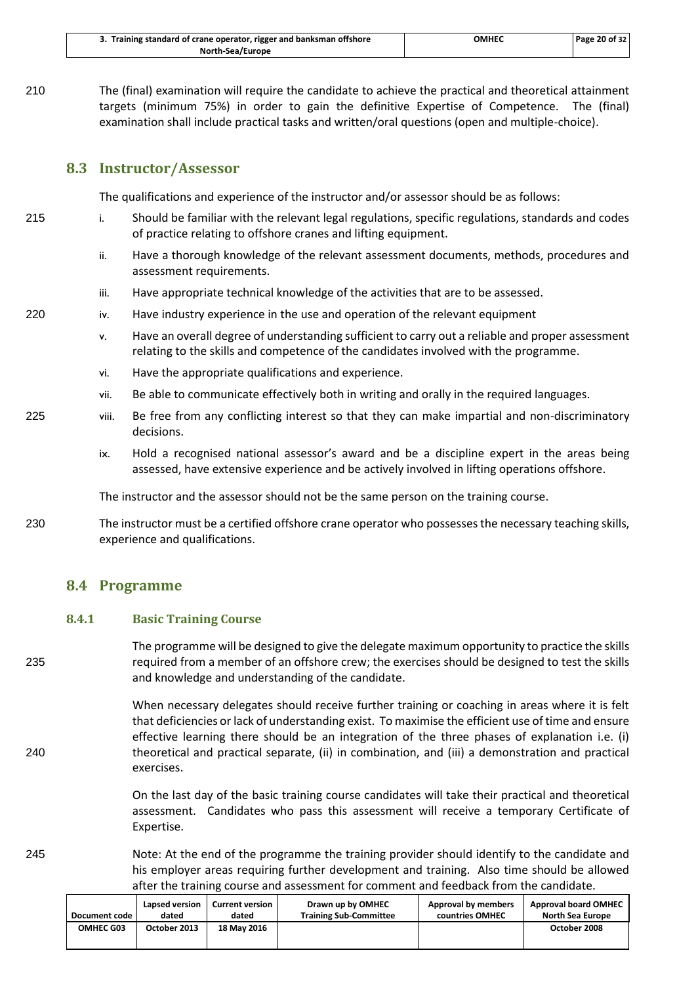| 3. Training standard of crane operator, rigger and banksman offshore | ОМНЕС | Page 20 of 32 |
|----------------------------------------------------------------------|-------|---------------|
| North-Sea/Europe                                                     |       |               |

210 The (final) examination will require the candidate to achieve the practical and theoretical attainment targets (minimum 75%) in order to gain the definitive Expertise of Competence. The (final) examination shall include practical tasks and written/oral questions (open and multiple-choice).

### <span id="page-23-0"></span>**8.3 Instructor/Assessor**

The qualifications and experience of the instructor and/or assessor should be as follows:

- 215 i. Should be familiar with the relevant legal regulations, specific regulations, standards and codes of practice relating to offshore cranes and lifting equipment.
	- ii. Have a thorough knowledge of the relevant assessment documents, methods, procedures and assessment requirements.
	- iii. Have appropriate technical knowledge of the activities that are to be assessed.
- 220 iv. Have industry experience in the use and operation of the relevant equipment
	- v. Have an overall degree of understanding sufficient to carry out a reliable and proper assessment relating to the skills and competence of the candidates involved with the programme.
	- vi. Have the appropriate qualifications and experience.
	- vii. Be able to communicate effectively both in writing and orally in the required languages.
- 225 viii. Be free from any conflicting interest so that they can make impartial and non-discriminatory decisions.
	- ix. Hold a recognised national assessor's award and be a discipline expert in the areas being assessed, have extensive experience and be actively involved in lifting operations offshore.

The instructor and the assessor should not be the same person on the training course.

230 The instructor must be a certified offshore crane operator who possesses the necessary teaching skills, experience and qualifications.

### <span id="page-23-1"></span>**8.4 Programme**

### **8.4.1 Basic Training Course**

The programme will be designed to give the delegate maximum opportunity to practice the skills 235 required from a member of an offshore crew; the exercises should be designed to test the skills and knowledge and understanding of the candidate.

When necessary delegates should receive further training or coaching in areas where it is felt that deficiencies or lack of understanding exist. To maximise the efficient use of time and ensure effective learning there should be an integration of the three phases of explanation i.e. (i) 240 theoretical and practical separate, (ii) in combination, and (iii) a demonstration and practical exercises.

> On the last day of the basic training course candidates will take their practical and theoretical assessment. Candidates who pass this assessment will receive a temporary Certificate of Expertise.

### 245 Note: At the end of the programme the training provider should identify to the candidate and his employer areas requiring further development and training. Also time should be allowed after the training course and assessment for comment and feedback from the candidate.

| Document code | Lapsed version | <b>Current version</b> | Drawn up by OMHEC             | Approval by members | <b>Approval board OMHEC</b> |
|---------------|----------------|------------------------|-------------------------------|---------------------|-----------------------------|
|               | dated          | dated                  | <b>Training Sub-Committee</b> | countries OMHEC     | <b>North Sea Europe</b>     |
| OMHEC G03     | October 2013   | 18 May 2016            |                               |                     | October 2008                |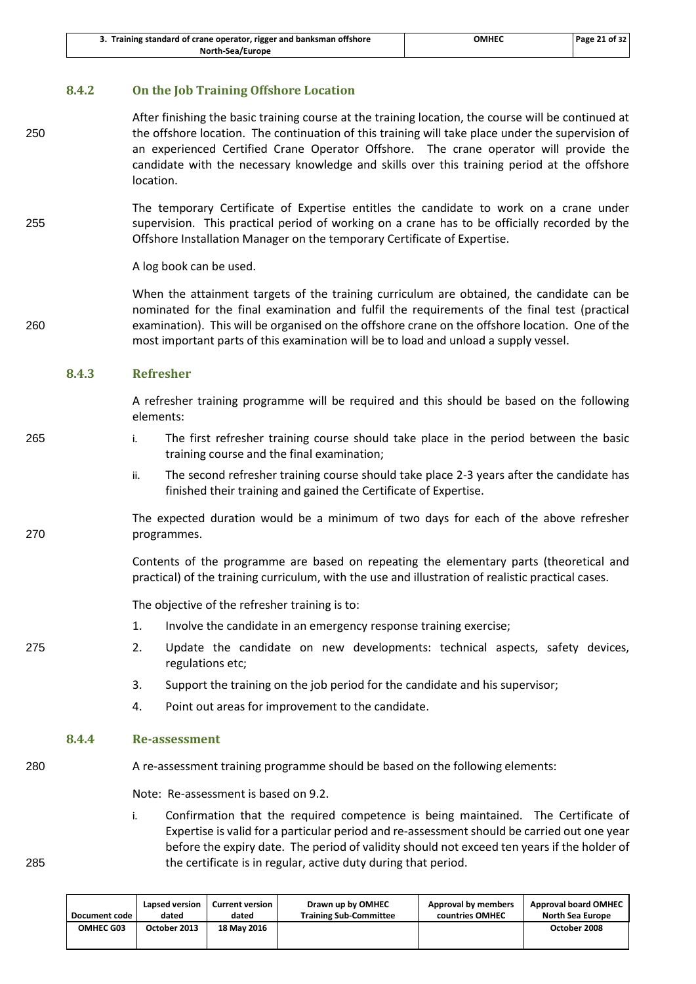| 3. Training standard of crane operator, rigger and banksman offshore | омнес | Page 21 of 32 |
|----------------------------------------------------------------------|-------|---------------|
| North-Sea/Europe                                                     |       |               |

### **8.4.2 On the Job Training Offshore Location**

- After finishing the basic training course at the training location, the course will be continued at 250 the offshore location. The continuation of this training will take place under the supervision of an experienced Certified Crane Operator Offshore. The crane operator will provide the candidate with the necessary knowledge and skills over this training period at the offshore location.
- The temporary Certificate of Expertise entitles the candidate to work on a crane under 255 supervision. This practical period of working on a crane has to be officially recorded by the Offshore Installation Manager on the temporary Certificate of Expertise.

A log book can be used.

When the attainment targets of the training curriculum are obtained, the candidate can be nominated for the final examination and fulfil the requirements of the final test (practical 260 examination). This will be organised on the offshore crane on the offshore location. One of the most important parts of this examination will be to load and unload a supply vessel.

### **8.4.3 Refresher**

A refresher training programme will be required and this should be based on the following elements:

- 265 i. The first refresher training course should take place in the period between the basic training course and the final examination;
	- ii. The second refresher training course should take place 2-3 years after the candidate has finished their training and gained the Certificate of Expertise.

The expected duration would be a minimum of two days for each of the above refresher 270 programmes.

> Contents of the programme are based on repeating the elementary parts (theoretical and practical) of the training curriculum, with the use and illustration of realistic practical cases.

The objective of the refresher training is to:

- 1. Involve the candidate in an emergency response training exercise;
- 275 2. Update the candidate on new developments: technical aspects, safety devices, regulations etc;
	- 3. Support the training on the job period for the candidate and his supervisor;
	- 4. Point out areas for improvement to the candidate.

### **8.4.4 Re-assessment**

280 A re-assessment training programme should be based on the following elements:

Note: Re-assessment is based on [9.2.](#page-26-2)

i. Confirmation that the required competence is being maintained. The Certificate of Expertise is valid for a particular period and re-assessment should be carried out one year before the expiry date. The period of validity should not exceed ten years if the holder of 285 the certificate is in regular, active duty during that period.

| Document code | Lapsed version | Current version | Drawn up by OMHEC             | Approval by members | <b>Approval board OMHEC</b> |
|---------------|----------------|-----------------|-------------------------------|---------------------|-----------------------------|
|               | dated          | dated           | <b>Training Sub-Committee</b> | countries OMHEC     | <b>North Sea Europe</b>     |
| OMHEC G03     | October 2013   | 18 May 2016     |                               |                     | October 2008                |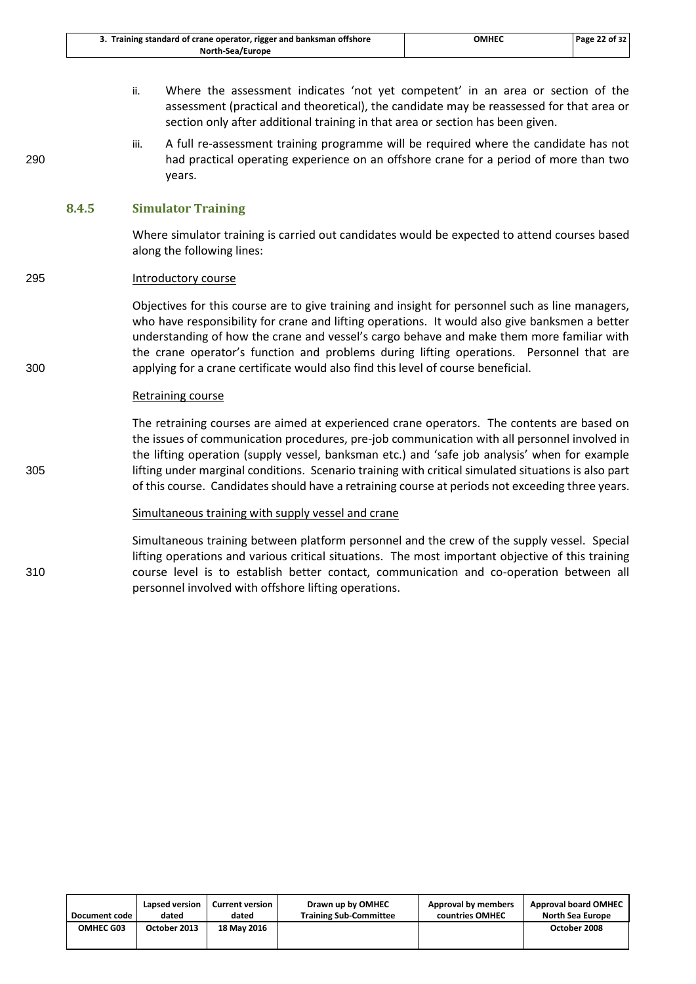| 3. Training standard of crane operator, rigger and banksman offshore | <b>OMHEC</b> | Page 22 of 32 |
|----------------------------------------------------------------------|--------------|---------------|
| North-Sea/Europe                                                     |              |               |

- ii. Where the assessment indicates 'not yet competent' in an area or section of the assessment (practical and theoretical), the candidate may be reassessed for that area or section only after additional training in that area or section has been given.
- iii. A full re-assessment training programme will be required where the candidate has not 290 had practical operating experience on an offshore crane for a period of more than two years.

### **8.4.5 Simulator Training**

Where simulator training is carried out candidates would be expected to attend courses based along the following lines:

### 295 Introductory course

Objectives for this course are to give training and insight for personnel such as line managers, who have responsibility for crane and lifting operations. It would also give banksmen a better understanding of how the crane and vessel's cargo behave and make them more familiar with the crane operator's function and problems during lifting operations. Personnel that are 300 applying for a crane certificate would also find this level of course beneficial.

### Retraining course

The retraining courses are aimed at experienced crane operators. The contents are based on the issues of communication procedures, pre-job communication with all personnel involved in the lifting operation (supply vessel, banksman etc.) and 'safe job analysis' when for example 305 lifting under marginal conditions. Scenario training with critical simulated situations is also part of this course. Candidates should have a retraining course at periods not exceeding three years.

### Simultaneous training with supply vessel and crane

Simultaneous training between platform personnel and the crew of the supply vessel. Special lifting operations and various critical situations. The most important objective of this training 310 course level is to establish better contact, communication and co-operation between all personnel involved with offshore lifting operations.

| Document code    | Lapsed version | <b>Current version</b> | Drawn up by OMHEC             | Approval by members | <b>Approval board OMHEC</b> |
|------------------|----------------|------------------------|-------------------------------|---------------------|-----------------------------|
|                  | dated          | dated                  | <b>Training Sub-Committee</b> | countries OMHEC     | North Sea Europe            |
| <b>OMHEC G03</b> | October 2013   | 18 May 2016            |                               |                     | October 2008                |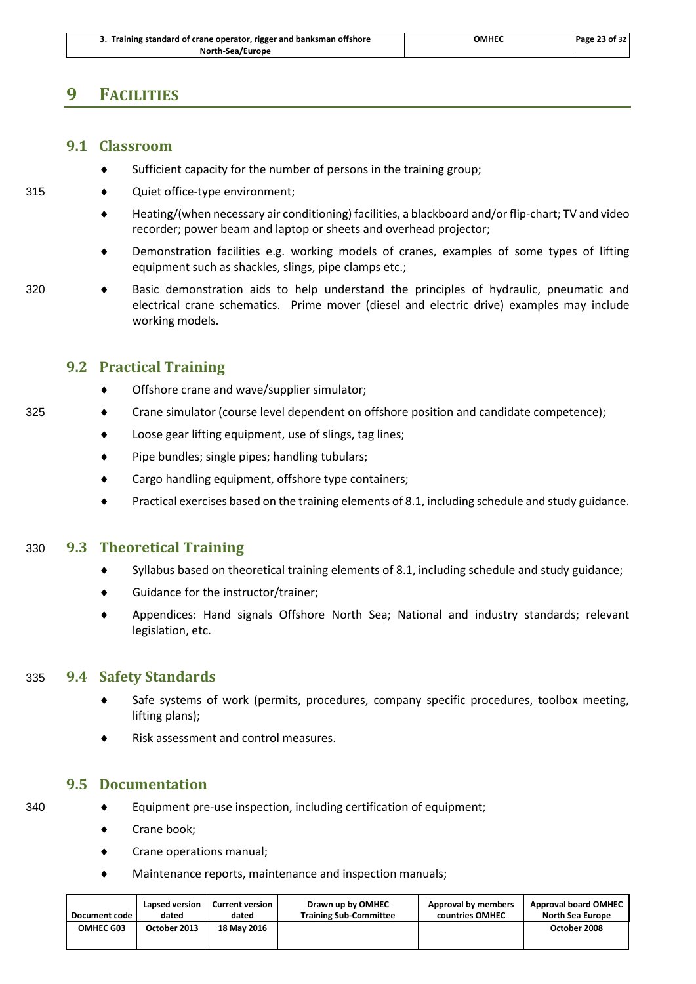### <span id="page-26-1"></span><span id="page-26-0"></span>**9 FACILITIES**

### **9.1 Classroom**

- Sufficient capacity for the number of persons in the training group;
- 315 Quiet office-type environment;
	- Heating/(when necessary air conditioning) facilities, a blackboard and/or flip-chart; TV and video recorder; power beam and laptop or sheets and overhead projector;
	- Demonstration facilities e.g. working models of cranes, examples of some types of lifting equipment such as shackles, slings, pipe clamps etc.;
- 320 Basic demonstration aids to help understand the principles of hydraulic, pneumatic and electrical crane schematics. Prime mover (diesel and electric drive) examples may include working models.

### <span id="page-26-2"></span>**9.2 Practical Training**

- ◆ Offshore crane and wave/supplier simulator;
- 325 Crane simulator (course level dependent on offshore position and candidate competence);
	- Loose gear lifting equipment, use of slings, tag lines;
	- Pipe bundles; single pipes; handling tubulars;
	- ◆ Cargo handling equipment, offshore type containers;
	- Practical exercises based on the training elements of [8.1,](#page-20-1) including schedule and study guidance.

### <span id="page-26-3"></span>330 **9.3 Theoretical Training**

- $\bullet$  Syllabus based on theoretical training elements of 8.1, including schedule and study guidance;
- Guidance for the instructor/trainer;
- <span id="page-26-4"></span> Appendices: Hand signals Offshore North Sea; National and industry standards; relevant legislation, etc.

### 335 **9.4 Safety Standards**

- Safe systems of work (permits, procedures, company specific procedures, toolbox meeting, lifting plans);
- Risk assessment and control measures.

### <span id="page-26-5"></span>**9.5 Documentation**

- 
- 340 Equipment pre-use inspection, including certification of equipment;
	- ◆ Crane book;
	- Crane operations manual;
	- Maintenance reports, maintenance and inspection manuals;

| Document code    | Lapsed version | <b>Current version</b> | Drawn up by OMHEC             | Approval by members | <b>Approval board OMHEC</b> |
|------------------|----------------|------------------------|-------------------------------|---------------------|-----------------------------|
|                  | dated          | dated                  | <b>Training Sub-Committee</b> | countries OMHEC     | <b>North Sea Europe</b>     |
| <b>OMHEC G03</b> | October 2013   | 18 May 2016            |                               |                     | October 2008                |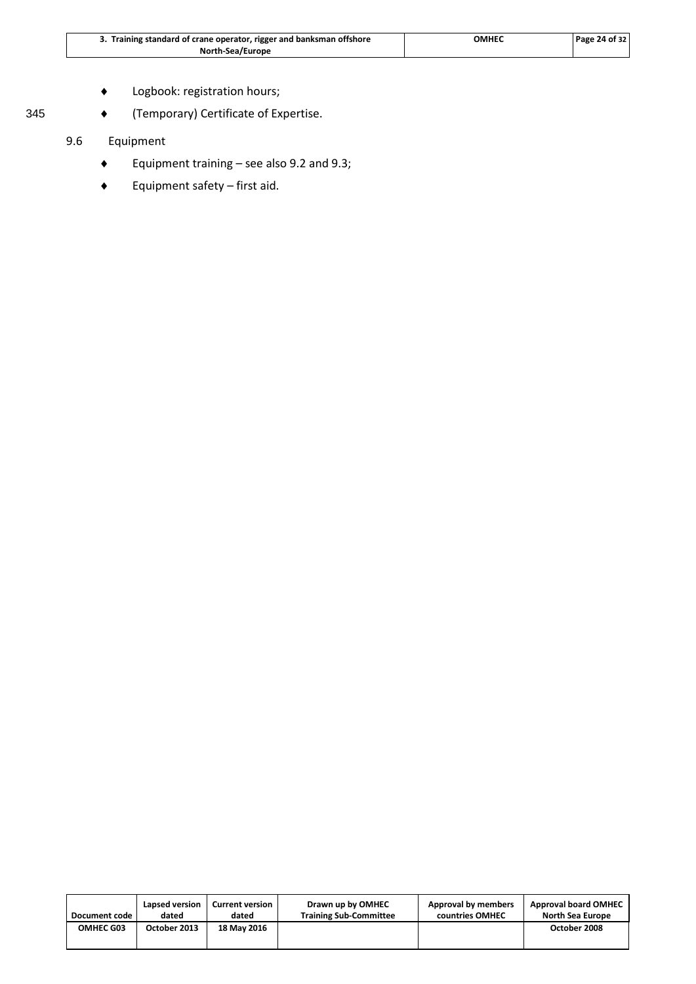| 3. Training standard of crane operator, rigger and banksman offshore | ОМНЕС | Page 24 of 32 |
|----------------------------------------------------------------------|-------|---------------|
| North-Sea/Europe                                                     |       |               |

- Logbook: registration hours;
- 345 **(Temporary) Certificate of Expertise.**

### 9.6 Equipment

- Equipment training see also 9.2 and 9.3;
- Equipment safety first aid.

| Document code | Lapsed version | <b>Current version</b> | Drawn up by OMHEC             | Approval by members | <b>Approval board OMHEC</b> |
|---------------|----------------|------------------------|-------------------------------|---------------------|-----------------------------|
|               | dated          | dated                  | <b>Training Sub-Committee</b> | countries OMHEC     | <b>North Sea Europe</b>     |
| OMHEC G03     | October 2013   | 18 May 2016            |                               |                     | October 2008                |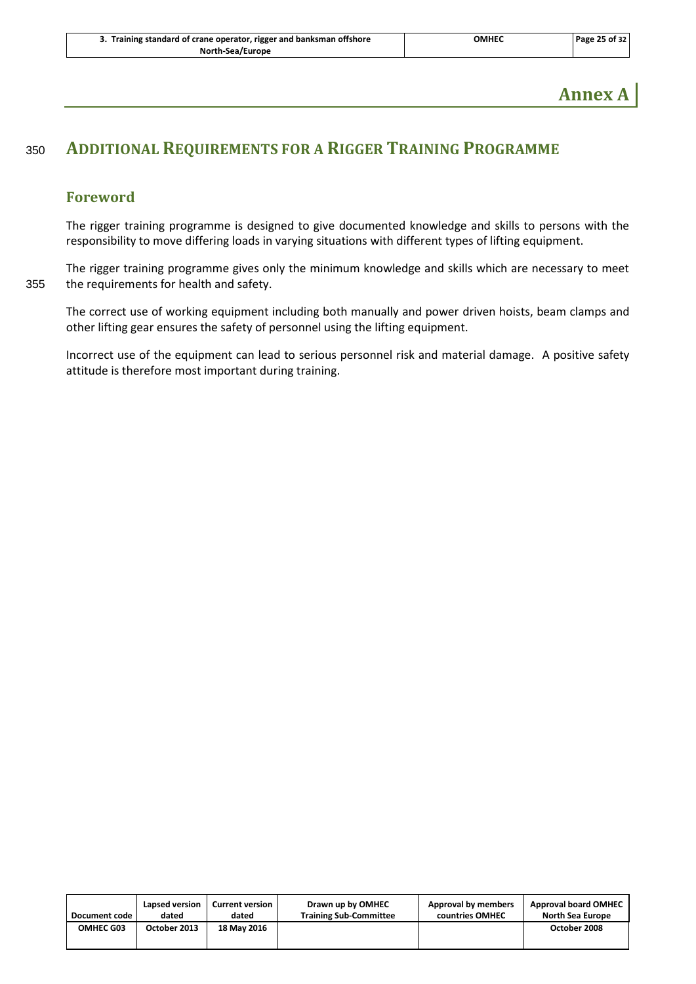**Annex A**

### <span id="page-28-0"></span><sup>350</sup> **ADDITIONAL REQUIREMENTS FOR A RIGGER TRAINING PROGRAMME**

### <span id="page-28-1"></span>**Foreword**

The rigger training programme is designed to give documented knowledge and skills to persons with the responsibility to move differing loads in varying situations with different types of lifting equipment.

The rigger training programme gives only the minimum knowledge and skills which are necessary to meet 355 the requirements for health and safety.

The correct use of working equipment including both manually and power driven hoists, beam clamps and other lifting gear ensures the safety of personnel using the lifting equipment.

Incorrect use of the equipment can lead to serious personnel risk and material damage. A positive safety attitude is therefore most important during training.

| Document code | Lapsed version | <b>Current version</b> | Drawn up by OMHEC             | Approval by members | <b>Approval board OMHEC</b> |
|---------------|----------------|------------------------|-------------------------------|---------------------|-----------------------------|
|               | dated          | dated                  | <b>Training Sub-Committee</b> | countries OMHEC     | North Sea Europe            |
| OMHEC G03     | October 2013   | 18 May 2016            |                               |                     | October 2008                |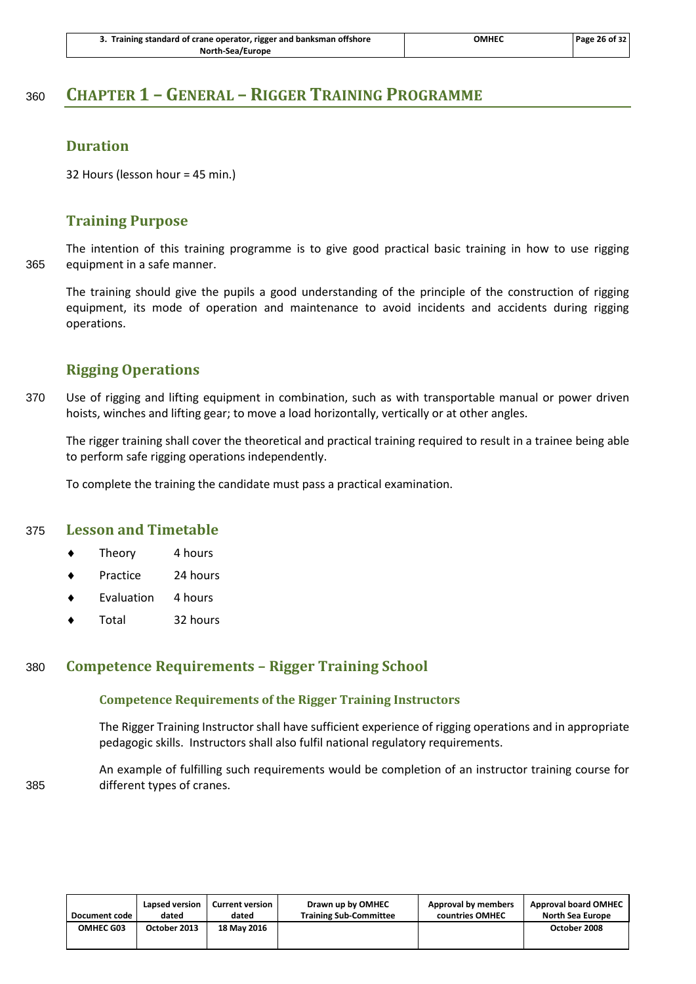| 3. Training standard of crane operator, rigger and banksman offshore | OMHEC | Page 26 of 32 |
|----------------------------------------------------------------------|-------|---------------|
| North-Sea/Europe                                                     |       |               |

### <span id="page-29-0"></span><sup>360</sup> **CHAPTER 1 – GENERAL – RIGGER TRAINING PROGRAMME**

### <span id="page-29-1"></span>**Duration**

<span id="page-29-2"></span>32 Hours (lesson hour = 45 min.)

### **Training Purpose**

The intention of this training programme is to give good practical basic training in how to use rigging 365 equipment in a safe manner.

The training should give the pupils a good understanding of the principle of the construction of rigging equipment, its mode of operation and maintenance to avoid incidents and accidents during rigging operations.

### <span id="page-29-3"></span>**Rigging Operations**

370 Use of rigging and lifting equipment in combination, such as with transportable manual or power driven hoists, winches and lifting gear; to move a load horizontally, vertically or at other angles.

The rigger training shall cover the theoretical and practical training required to result in a trainee being able to perform safe rigging operations independently.

<span id="page-29-4"></span>To complete the training the candidate must pass a practical examination.

### 375 **Lesson and Timetable**

- Theory 4 hours
- Practice 24 hours
- Evaluation 4 hours
- <span id="page-29-5"></span>Total 32 hours

### 380 **Competence Requirements – Rigger Training School**

### **Competence Requirements of the Rigger Training Instructors**

The Rigger Training Instructor shall have sufficient experience of rigging operations and in appropriate pedagogic skills. Instructors shall also fulfil national regulatory requirements.

An example of fulfilling such requirements would be completion of an instructor training course for 385 different types of cranes.

| Document code | Lapsed version | <b>Current version</b> | Drawn up by OMHEC             | Approval by members | <b>Approval board OMHEC</b> |
|---------------|----------------|------------------------|-------------------------------|---------------------|-----------------------------|
|               | dated          | dated                  | <b>Training Sub-Committee</b> | countries OMHEC     | <b>North Sea Europe</b>     |
| OMHEC G03     | October 2013   | 18 May 2016            |                               |                     | October 2008                |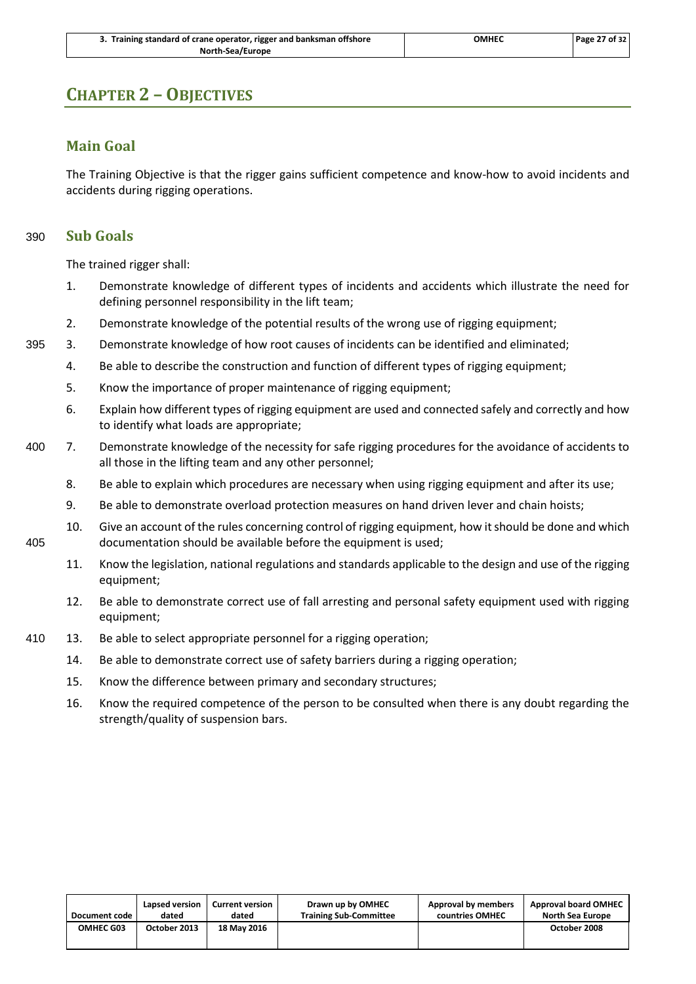| 3. Training standard of crane operator, rigger and banksman offshore | ОМНЕС | Page 27 of 32 |
|----------------------------------------------------------------------|-------|---------------|
| North-Sea/Europe                                                     |       |               |

### <span id="page-30-1"></span><span id="page-30-0"></span>**CHAPTER 2 – OBJECTIVES**

### **Main Goal**

<span id="page-30-2"></span>The Training Objective is that the rigger gains sufficient competence and know-how to avoid incidents and accidents during rigging operations.

### 390 **Sub Goals**

The trained rigger shall:

- 1. Demonstrate knowledge of different types of incidents and accidents which illustrate the need for defining personnel responsibility in the lift team;
- 2. Demonstrate knowledge of the potential results of the wrong use of rigging equipment;
- 395 3. Demonstrate knowledge of how root causes of incidents can be identified and eliminated;
	- 4. Be able to describe the construction and function of different types of rigging equipment;
	- 5. Know the importance of proper maintenance of rigging equipment;
	- 6. Explain how different types of rigging equipment are used and connected safely and correctly and how to identify what loads are appropriate;
- 400 7. Demonstrate knowledge of the necessity for safe rigging procedures for the avoidance of accidents to all those in the lifting team and any other personnel;
	- 8. Be able to explain which procedures are necessary when using rigging equipment and after its use;
	- 9. Be able to demonstrate overload protection measures on hand driven lever and chain hoists;
- 10. Give an account of the rules concerning control of rigging equipment, how it should be done and which 405 documentation should be available before the equipment is used;
	- 11. Know the legislation, national regulations and standards applicable to the design and use of the rigging equipment;
	- 12. Be able to demonstrate correct use of fall arresting and personal safety equipment used with rigging equipment;
- 410 13. Be able to select appropriate personnel for a rigging operation;
	- 14. Be able to demonstrate correct use of safety barriers during a rigging operation;
	- 15. Know the difference between primary and secondary structures;
	- 16. Know the required competence of the person to be consulted when there is any doubt regarding the strength/quality of suspension bars.

| Document code    | Lapsed version | <b>Current version</b> | Drawn up by OMHEC             | Approval by members | <b>Approval board OMHEC</b> |
|------------------|----------------|------------------------|-------------------------------|---------------------|-----------------------------|
|                  | dated          | dated                  | <b>Training Sub-Committee</b> | countries OMHEC     | <b>North Sea Europe</b>     |
| <b>OMHEC G03</b> | October 2013   | 18 May 2016            |                               |                     | October 2008                |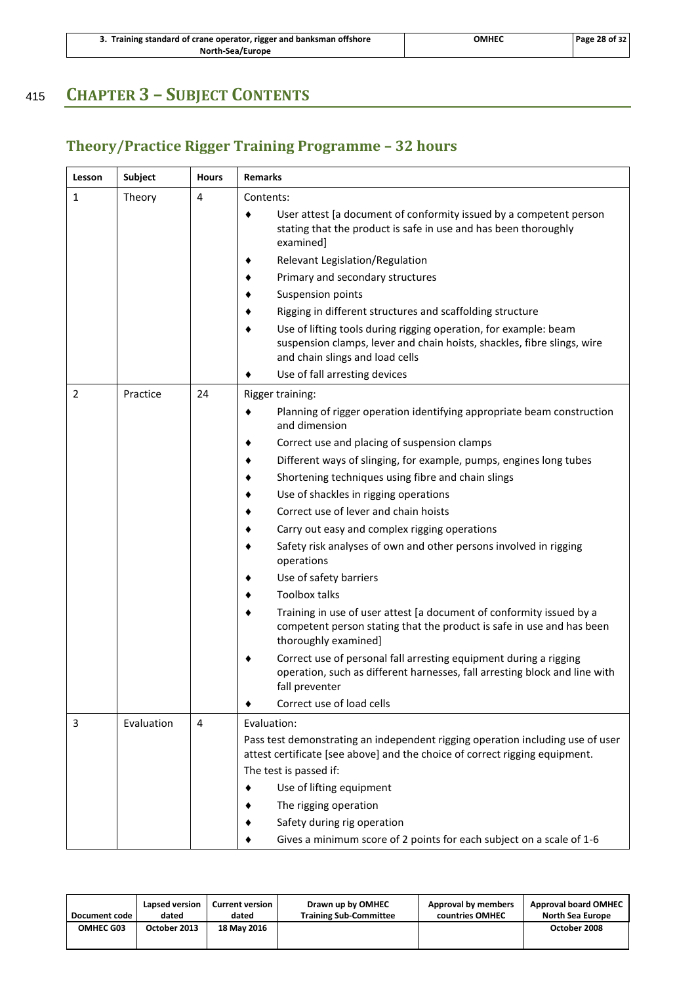| 3. Training standard of crane operator, rigger and banksman offshore | омнес | <b>Page 28 of 32</b> |
|----------------------------------------------------------------------|-------|----------------------|
| North-Sea/Europe                                                     |       |                      |

## <span id="page-31-0"></span><sup>415</sup> **CHAPTER 3 – SUBJECT CONTENTS**

## <span id="page-31-1"></span>**Theory/Practice Rigger Training Programme – 32 hours**

| Lesson         | Subject    | <b>Hours</b>   | <b>Remarks</b>                                                                                                                                                                 |
|----------------|------------|----------------|--------------------------------------------------------------------------------------------------------------------------------------------------------------------------------|
| 1              | Theory     | 4              | Contents:                                                                                                                                                                      |
|                |            |                | User attest [a document of conformity issued by a competent person<br>stating that the product is safe in use and has been thoroughly<br>examined]                             |
|                |            |                | Relevant Legislation/Regulation                                                                                                                                                |
|                |            |                | Primary and secondary structures                                                                                                                                               |
|                |            |                | Suspension points                                                                                                                                                              |
|                |            |                | Rigging in different structures and scaffolding structure                                                                                                                      |
|                |            |                | Use of lifting tools during rigging operation, for example: beam<br>suspension clamps, lever and chain hoists, shackles, fibre slings, wire<br>and chain slings and load cells |
|                |            |                | Use of fall arresting devices                                                                                                                                                  |
| $\overline{2}$ | Practice   | 24             | Rigger training:                                                                                                                                                               |
|                |            |                | Planning of rigger operation identifying appropriate beam construction<br>٠<br>and dimension                                                                                   |
|                |            |                | Correct use and placing of suspension clamps<br>٠                                                                                                                              |
|                |            |                | Different ways of slinging, for example, pumps, engines long tubes                                                                                                             |
|                |            |                | Shortening techniques using fibre and chain slings                                                                                                                             |
|                |            |                | Use of shackles in rigging operations                                                                                                                                          |
|                |            |                | Correct use of lever and chain hoists                                                                                                                                          |
|                |            |                | Carry out easy and complex rigging operations                                                                                                                                  |
|                |            |                | Safety risk analyses of own and other persons involved in rigging<br>operations                                                                                                |
|                |            |                | Use of safety barriers                                                                                                                                                         |
|                |            |                | <b>Toolbox talks</b>                                                                                                                                                           |
|                |            |                | Training in use of user attest [a document of conformity issued by a<br>competent person stating that the product is safe in use and has been<br>thoroughly examined]          |
|                |            |                | Correct use of personal fall arresting equipment during a rigging<br>operation, such as different harnesses, fall arresting block and line with<br>fall preventer              |
|                |            |                | Correct use of load cells                                                                                                                                                      |
| 3              | Evaluation | $\overline{4}$ | Evaluation:                                                                                                                                                                    |
|                |            |                | Pass test demonstrating an independent rigging operation including use of user<br>attest certificate [see above] and the choice of correct rigging equipment.                  |
|                |            |                | The test is passed if:                                                                                                                                                         |
|                |            |                | Use of lifting equipment                                                                                                                                                       |
|                |            |                | The rigging operation                                                                                                                                                          |
|                |            |                | Safety during rig operation                                                                                                                                                    |
|                |            |                | Gives a minimum score of 2 points for each subject on a scale of 1-6                                                                                                           |

| Document code    | Lapsed version | <b>Current version</b> | Drawn up by OMHEC             | Approval by members | <b>Approval board OMHEC</b> |
|------------------|----------------|------------------------|-------------------------------|---------------------|-----------------------------|
|                  | dated          | dated                  | <b>Training Sub-Committee</b> | countries OMHEC     | <b>North Sea Europe</b>     |
| <b>OMHEC G03</b> | October 2013   | 18 May 2016            |                               |                     | October 2008                |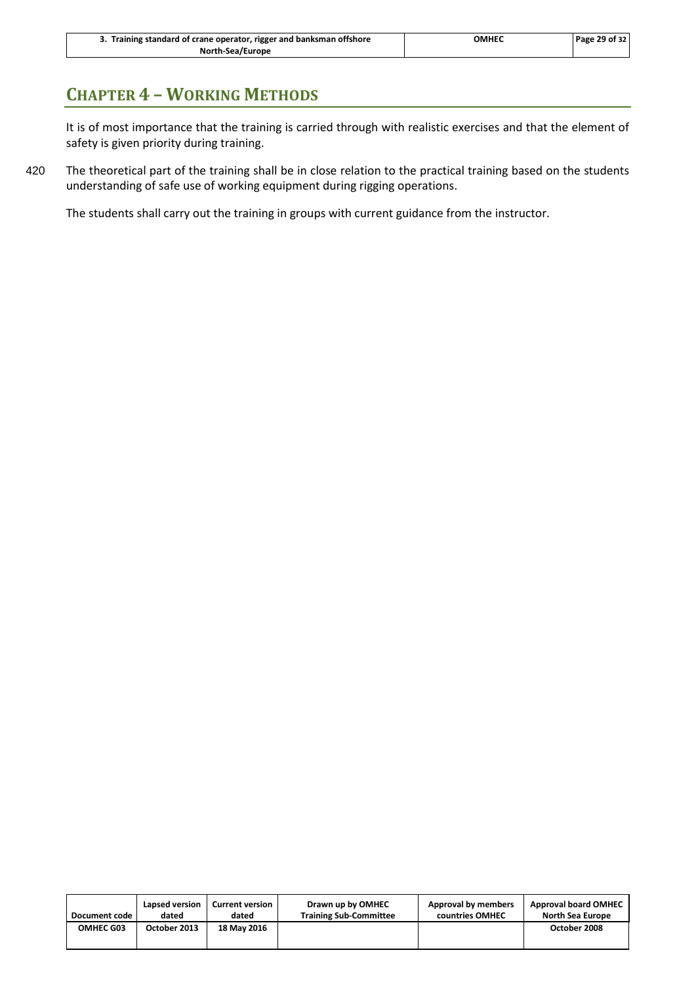| 3. Training standard of crane operator, rigger and banksman offshore | <b>OMHEC</b> | Page 29 of 32 |
|----------------------------------------------------------------------|--------------|---------------|
| North-Sea/Europe                                                     |              |               |

### <span id="page-32-0"></span>**CHAPTER 4 – WORKING METHODS**

It is of most importance that the training is carried through with realistic exercises and that the element of safety is given priority during training.

420 The theoretical part of the training shall be in close relation to the practical training based on the students understanding of safe use of working equipment during rigging operations.

The students shall carry out the training in groups with current guidance from the instructor.

| Document code    | Lapsed version | <b>Current version</b> | Drawn up by OMHEC             | Approval by members | <b>Approval board OMHEC</b> |
|------------------|----------------|------------------------|-------------------------------|---------------------|-----------------------------|
|                  | dated          | dated                  | <b>Training Sub-Committee</b> | countries OMHEC     | North Sea Europe            |
| <b>OMHEC G03</b> | October 2013   | 18 May 2016            |                               |                     | October 2008                |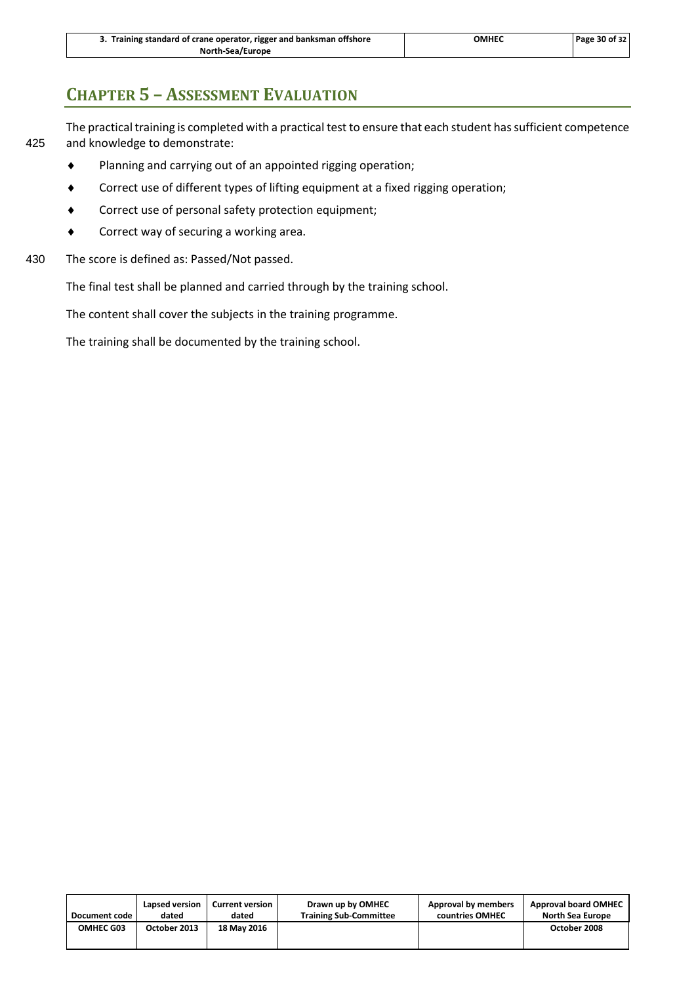| 3. Training standard of crane operator, rigger and banksman offshore | OMHEC | Page 30 of 32 |
|----------------------------------------------------------------------|-------|---------------|
| North-Sea/Europe                                                     |       |               |

### <span id="page-33-0"></span>**CHAPTER 5 – ASSESSMENT EVALUATION**

The practical training is completed with a practical test to ensure that each student has sufficient competence 425 and knowledge to demonstrate:

- Planning and carrying out of an appointed rigging operation;
- Correct use of different types of lifting equipment at a fixed rigging operation;
- Correct use of personal safety protection equipment;
- Correct way of securing a working area.
- 430 The score is defined as: Passed/Not passed.

The final test shall be planned and carried through by the training school.

The content shall cover the subjects in the training programme.

The training shall be documented by the training school.

| Document code    | Lapsed version | <b>Current version</b> | Drawn up by OMHEC             | Approval by members | <b>Approval board OMHEC</b> |
|------------------|----------------|------------------------|-------------------------------|---------------------|-----------------------------|
|                  | dated          | dated                  | <b>Training Sub-Committee</b> | countries OMHEC     | <b>North Sea Europe</b>     |
| <b>OMHEC G03</b> | October 2013   | 18 May 2016            |                               |                     | October 2008                |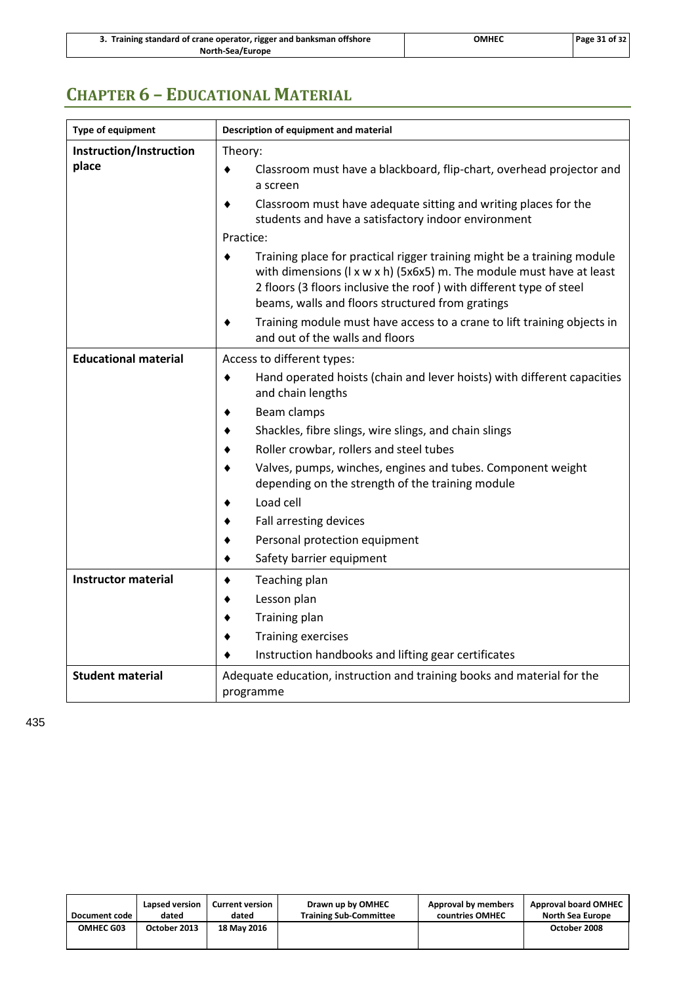| 3. Training standard of crane operator, rigger and banksman offshore | <b>OMHEC</b> | Page 31 of 32 |
|----------------------------------------------------------------------|--------------|---------------|
| North-Sea/Europe                                                     |              |               |

## <span id="page-34-0"></span>**CHAPTER 6 – EDUCATIONAL MATERIAL**

| <b>Type of equipment</b>    | Description of equipment and material                                                                                                                                                                                                                                                         |
|-----------------------------|-----------------------------------------------------------------------------------------------------------------------------------------------------------------------------------------------------------------------------------------------------------------------------------------------|
| Instruction/Instruction     | Theory:                                                                                                                                                                                                                                                                                       |
| place                       | Classroom must have a blackboard, flip-chart, overhead projector and<br>٠<br>a screen                                                                                                                                                                                                         |
|                             | Classroom must have adequate sitting and writing places for the<br>students and have a satisfactory indoor environment                                                                                                                                                                        |
|                             | Practice:                                                                                                                                                                                                                                                                                     |
|                             | Training place for practical rigger training might be a training module<br>٠<br>with dimensions ( $l \times w \times h$ ) (5x6x5) m. The module must have at least<br>2 floors (3 floors inclusive the roof) with different type of steel<br>beams, walls and floors structured from gratings |
|                             | Training module must have access to a crane to lift training objects in<br>and out of the walls and floors                                                                                                                                                                                    |
| <b>Educational material</b> | Access to different types:                                                                                                                                                                                                                                                                    |
|                             | Hand operated hoists (chain and lever hoists) with different capacities<br>٠<br>and chain lengths                                                                                                                                                                                             |
|                             | Beam clamps                                                                                                                                                                                                                                                                                   |
|                             | Shackles, fibre slings, wire slings, and chain slings                                                                                                                                                                                                                                         |
|                             | Roller crowbar, rollers and steel tubes                                                                                                                                                                                                                                                       |
|                             | Valves, pumps, winches, engines and tubes. Component weight<br>depending on the strength of the training module                                                                                                                                                                               |
|                             | Load cell                                                                                                                                                                                                                                                                                     |
|                             | Fall arresting devices                                                                                                                                                                                                                                                                        |
|                             | Personal protection equipment                                                                                                                                                                                                                                                                 |
|                             | Safety barrier equipment                                                                                                                                                                                                                                                                      |
| <b>Instructor material</b>  | Teaching plan                                                                                                                                                                                                                                                                                 |
|                             | Lesson plan                                                                                                                                                                                                                                                                                   |
|                             | Training plan                                                                                                                                                                                                                                                                                 |
|                             | <b>Training exercises</b>                                                                                                                                                                                                                                                                     |
|                             | Instruction handbooks and lifting gear certificates                                                                                                                                                                                                                                           |
| <b>Student material</b>     | Adequate education, instruction and training books and material for the<br>programme                                                                                                                                                                                                          |

435

| Document code    | Lapsed version | <b>Current version</b> | Drawn up by OMHEC             | Approval by members | <b>Approval board OMHEC</b> |
|------------------|----------------|------------------------|-------------------------------|---------------------|-----------------------------|
|                  | dated          | dated                  | <b>Training Sub-Committee</b> | countries OMHEC     | North Sea Europe            |
| <b>OMHEC G03</b> | October 2013   | <b>18 May 2016</b>     |                               |                     | October 2008                |